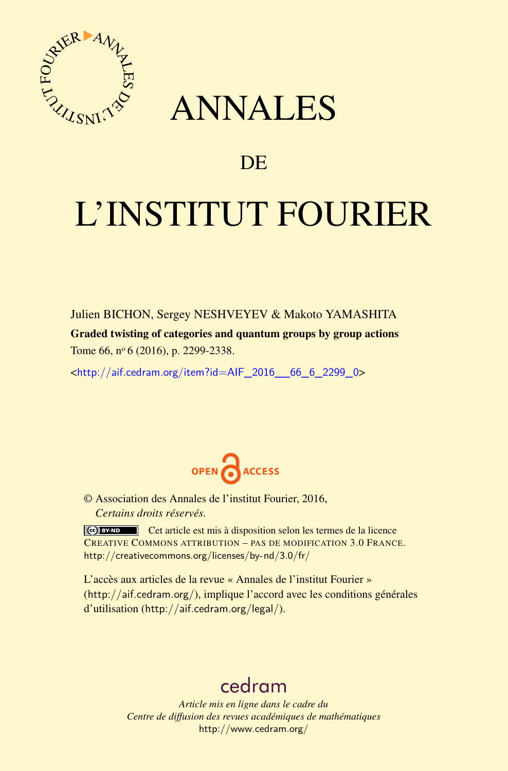

## ANNALES

## **DE**

# L'INSTITUT FOURIER

Julien BICHON, Sergey NESHVEYEV & Makoto YAMASHITA Graded twisting of categories and quantum groups by group actions Tome 66, nº 6 (2016), p. 2299-2338.

 $\kappa$ http://aif.cedram.org/item?id=AIF 2016 66 6 2299 0>



© Association des Annales de l'institut Fourier, 2016, *Certains droits réservés.*

Cet article est mis à disposition selon les termes de la licence CREATIVE COMMONS ATTRIBUTION – PAS DE MODIFICATION 3.0 FRANCE. <http://creativecommons.org/licenses/by-nd/3.0/fr/>

L'accès aux articles de la revue « Annales de l'institut Fourier » (<http://aif.cedram.org/>), implique l'accord avec les conditions générales d'utilisation (<http://aif.cedram.org/legal/>).

## [cedram](http://www.cedram.org/)

*Article mis en ligne dans le cadre du Centre de diffusion des revues académiques de mathématiques* <http://www.cedram.org/>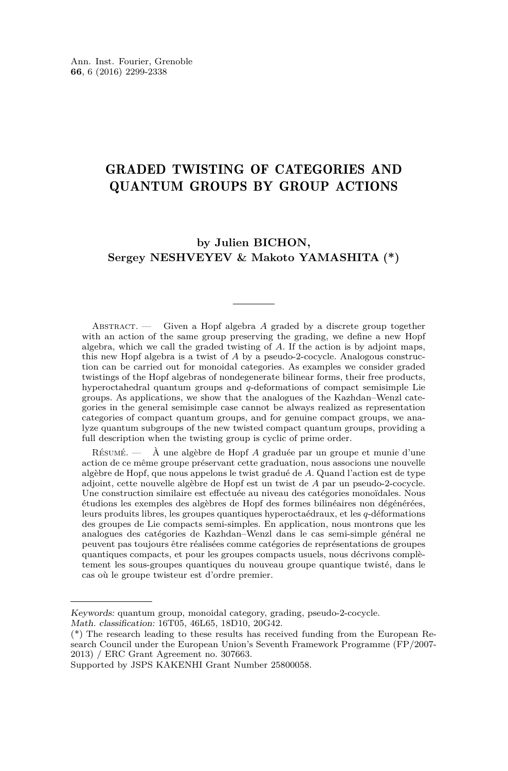### GRADED TWISTING OF CATEGORIES AND QUANTUM GROUPS BY GROUP ACTIONS

#### **by Julien BICHON, Sergey NESHVEYEV & Makoto YAMASHITA (\*)**

Abstract. — Given a Hopf algebra *A* graded by a discrete group together with an action of the same group preserving the grading, we define a new Hopf algebra, which we call the graded twisting of *A*. If the action is by adjoint maps, this new Hopf algebra is a twist of *A* by a pseudo-2-cocycle. Analogous construction can be carried out for monoidal categories. As examples we consider graded twistings of the Hopf algebras of nondegenerate bilinear forms, their free products, hyperoctahedral quantum groups and *q*-deformations of compact semisimple Lie groups. As applications, we show that the analogues of the Kazhdan–Wenzl categories in the general semisimple case cannot be always realized as representation categories of compact quantum groups, and for genuine compact groups, we analyze quantum subgroups of the new twisted compact quantum groups, providing a full description when the twisting group is cyclic of prime order.

Résumé. — À une algèbre de Hopf *A* graduée par un groupe et munie d'une action de ce même groupe préservant cette graduation, nous associons une nouvelle algèbre de Hopf, que nous appelons le twist gradué de *A*. Quand l'action est de type adjoint, cette nouvelle algèbre de Hopf est un twist de *A* par un pseudo-2-cocycle. Une construction similaire est effectuée au niveau des catégories monoïdales. Nous étudions les exemples des algèbres de Hopf des formes bilinéaires non dégénérées, leurs produits libres, les groupes quantiques hyperoctaédraux, et les *q*-déformations des groupes de Lie compacts semi-simples. En application, nous montrons que les analogues des catégories de Kazhdan–Wenzl dans le cas semi-simple général ne peuvent pas toujours être réalisées comme catégories de représentations de groupes quantiques compacts, et pour les groupes compacts usuels, nous décrivons complètement les sous-groupes quantiques du nouveau groupe quantique twisté, dans le cas où le groupe twisteur est d'ordre premier.

Keywords: quantum group, monoidal category, grading, pseudo-2-cocycle. Math. classification: 16T05, 46L65, 18D10, 20G42.

<sup>(\*)</sup> The research leading to these results has received funding from the European Research Council under the European Union's Seventh Framework Programme (FP/2007- 2013) / ERC Grant Agreement no. 307663.

Supported by JSPS KAKENHI Grant Number 25800058.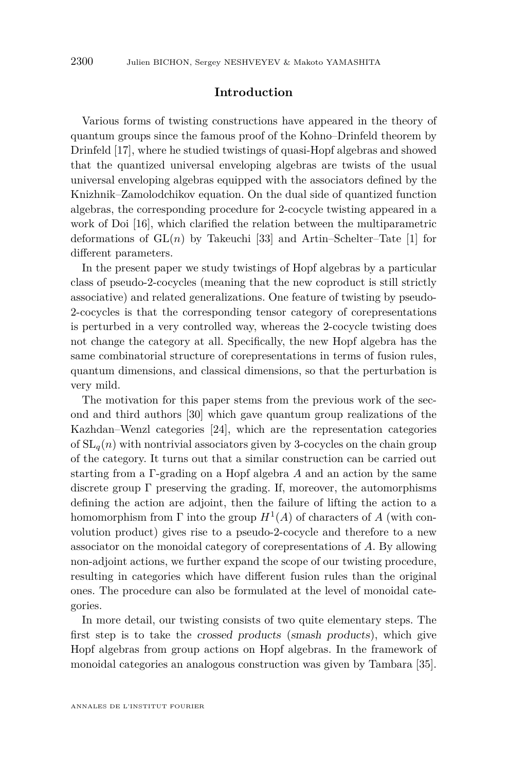#### **Introduction**

Various forms of twisting constructions have appeared in the theory of quantum groups since the famous proof of the Kohno–Drinfeld theorem by Drinfeld [\[17\]](#page-38-0), where he studied twistings of quasi-Hopf algebras and showed that the quantized universal enveloping algebras are twists of the usual universal enveloping algebras equipped with the associators defined by the Knizhnik–Zamolodchikov equation. On the dual side of quantized function algebras, the corresponding procedure for 2-cocycle twisting appeared in a work of Doi [\[16\]](#page-38-1), which clarified the relation between the multiparametric deformations of  $GL(n)$  by Takeuchi [\[33\]](#page-39-0) and Artin–Schelter–Tate [\[1\]](#page-38-2) for different parameters.

In the present paper we study twistings of Hopf algebras by a particular class of pseudo-2-cocycles (meaning that the new coproduct is still strictly associative) and related generalizations. One feature of twisting by pseudo-2-cocycles is that the corresponding tensor category of corepresentations is perturbed in a very controlled way, whereas the 2-cocycle twisting does not change the category at all. Specifically, the new Hopf algebra has the same combinatorial structure of corepresentations in terms of fusion rules, quantum dimensions, and classical dimensions, so that the perturbation is very mild.

The motivation for this paper stems from the previous work of the second and third authors [\[30\]](#page-39-1) which gave quantum group realizations of the Kazhdan–Wenzl categories [\[24\]](#page-39-2), which are the representation categories of  $SL_q(n)$  with nontrivial associators given by 3-cocycles on the chain group of the category. It turns out that a similar construction can be carried out starting from a Γ-grading on a Hopf algebra *A* and an action by the same discrete group  $\Gamma$  preserving the grading. If, moreover, the automorphisms defining the action are adjoint, then the failure of lifting the action to a homomorphism from  $\Gamma$  into the group  $H^1(A)$  of characters of A (with convolution product) gives rise to a pseudo-2-cocycle and therefore to a new associator on the monoidal category of corepresentations of *A*. By allowing non-adjoint actions, we further expand the scope of our twisting procedure, resulting in categories which have different fusion rules than the original ones. The procedure can also be formulated at the level of monoidal categories.

In more detail, our twisting consists of two quite elementary steps. The first step is to take the crossed products (smash products), which give Hopf algebras from group actions on Hopf algebras. In the framework of monoidal categories an analogous construction was given by Tambara [\[35\]](#page-39-3).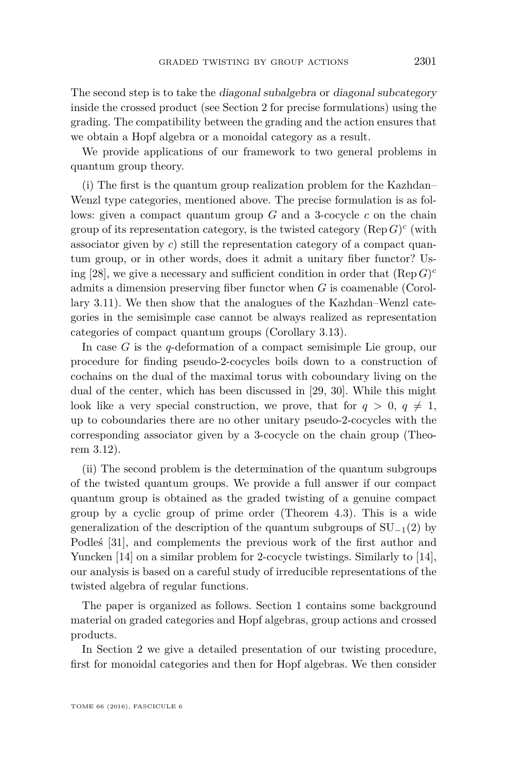The second step is to take the diagonal subalgebra or diagonal subcategory inside the crossed product (see Section [2](#page-9-0) for precise formulations) using the grading. The compatibility between the grading and the action ensures that we obtain a Hopf algebra or a monoidal category as a result.

We provide applications of our framework to two general problems in quantum group theory.

(i) The first is the quantum group realization problem for the Kazhdan– Wenzl type categories, mentioned above. The precise formulation is as follows: given a compact quantum group *G* and a 3-cocycle *c* on the chain group of its representation category, is the twisted category  $(\text{Rep } G)^c$  (with associator given by *c*) still the representation category of a compact quantum group, or in other words, does it admit a unitary fiber functor? Us-ing [\[28\]](#page-39-4), we give a necessary and sufficient condition in order that  $(\text{Rep } G)^c$ admits a dimension preserving fiber functor when *G* is coamenable (Corollary [3.11\)](#page-27-0). We then show that the analogues of the Kazhdan–Wenzl categories in the semisimple case cannot be always realized as representation categories of compact quantum groups (Corollary [3.13\)](#page-29-0).

In case *G* is the *q*-deformation of a compact semisimple Lie group, our procedure for finding pseudo-2-cocycles boils down to a construction of cochains on the dual of the maximal torus with coboundary living on the dual of the center, which has been discussed in [\[29,](#page-39-5) [30\]](#page-39-1). While this might look like a very special construction, we prove, that for  $q > 0$ ,  $q \neq 1$ , up to coboundaries there are no other unitary pseudo-2-cocycles with the corresponding associator given by a 3-cocycle on the chain group (Theorem [3.12\)](#page-27-1).

(ii) The second problem is the determination of the quantum subgroups of the twisted quantum groups. We provide a full answer if our compact quantum group is obtained as the graded twisting of a genuine compact group by a cyclic group of prime order (Theorem [4.3\)](#page-32-0). This is a wide generalization of the description of the quantum subgroups of  $SU_{-1}(2)$  by Podleś [\[31\]](#page-39-6), and complements the previous work of the first author and Yuncken [\[14\]](#page-38-3) on a similar problem for 2-cocycle twistings. Similarly to [14], our analysis is based on a careful study of irreducible representations of the twisted algebra of regular functions.

The paper is organized as follows. Section [1](#page-4-0) contains some background material on graded categories and Hopf algebras, group actions and crossed products.

In Section [2](#page-9-0) we give a detailed presentation of our twisting procedure, first for monoidal categories and then for Hopf algebras. We then consider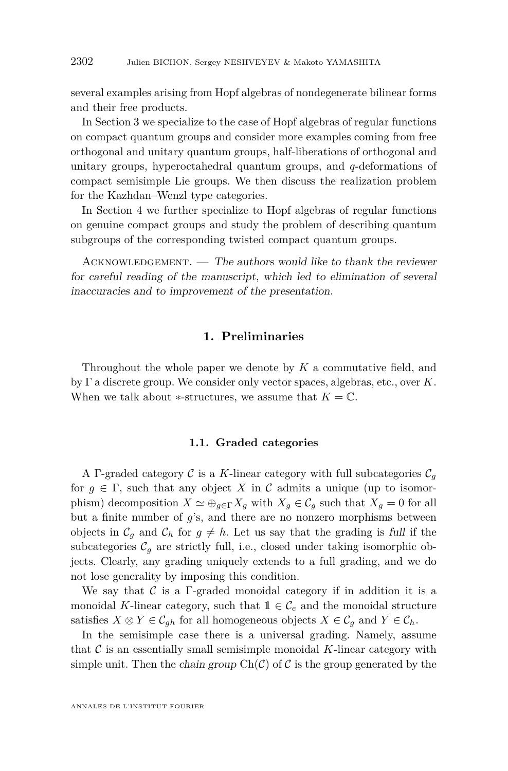several examples arising from Hopf algebras of nondegenerate bilinear forms and their free products.

In Section [3](#page-20-0) we specialize to the case of Hopf algebras of regular functions on compact quantum groups and consider more examples coming from free orthogonal and unitary quantum groups, half-liberations of orthogonal and unitary groups, hyperoctahedral quantum groups, and *q*-deformations of compact semisimple Lie groups. We then discuss the realization problem for the Kazhdan–Wenzl type categories.

In Section [4](#page-29-1) we further specialize to Hopf algebras of regular functions on genuine compact groups and study the problem of describing quantum subgroups of the corresponding twisted compact quantum groups.

 $ACKNOWLEDGEMENT.$  — The authors would like to thank the reviewer for careful reading of the manuscript, which led to elimination of several inaccuracies and to improvement of the presentation.

#### **1. Preliminaries**

<span id="page-4-0"></span>Throughout the whole paper we denote by *K* a commutative field, and by Γ a discrete group. We consider only vector spaces, algebras, etc., over *K*. When we talk about  $*$ -structures, we assume that  $K = \mathbb{C}$ .

#### **1.1. Graded categories**

A Γ-graded category C is a K-linear category with full subcategories  $\mathcal{C}_g$ for  $g \in \Gamma$ , such that any object X in C admits a unique (up to isomorphism) decomposition  $X \simeq \bigoplus_{g \in \Gamma} X_g$  with  $X_g \in \mathcal{C}_g$  such that  $X_g = 0$  for all but a finite number of *g*'s, and there are no nonzero morphisms between objects in  $\mathcal{C}_g$  and  $\mathcal{C}_h$  for  $g \neq h$ . Let us say that the grading is full if the subcategories  $C_q$  are strictly full, i.e., closed under taking isomorphic objects. Clearly, any grading uniquely extends to a full grading, and we do not lose generality by imposing this condition.

We say that  $\mathcal C$  is a Γ-graded monoidal category if in addition it is a monoidal *K*-linear category, such that  $1 \in \mathcal{C}_e$  and the monoidal structure satisfies  $X \otimes Y \in \mathcal{C}_{ah}$  for all homogeneous objects  $X \in \mathcal{C}_a$  and  $Y \in \mathcal{C}_h$ .

In the semisimple case there is a universal grading. Namely, assume that C is an essentially small semisimple monoidal *K*-linear category with simple unit. Then the *chain group*  $Ch(\mathcal{C})$  of  $\mathcal C$  is the group generated by the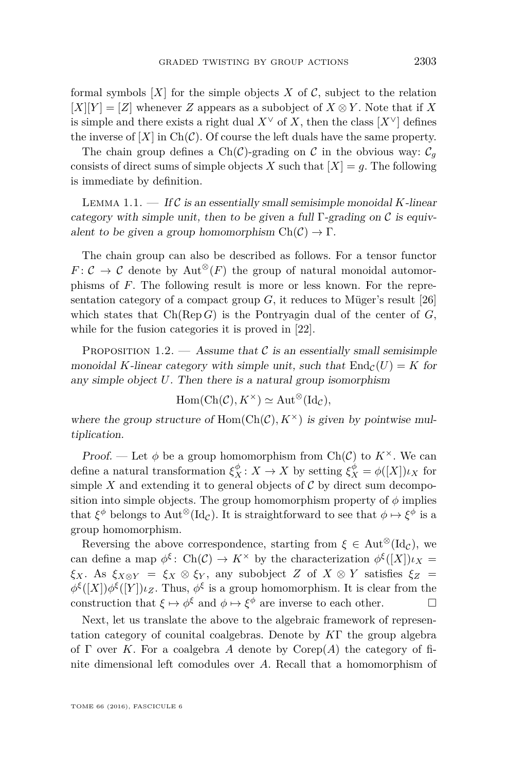formal symbols  $[X]$  for the simple objects X of C, subject to the relation  $[X][Y] = [Z]$  whenever *Z* appears as a subobject of  $X \otimes Y$ . Note that if *X* is simple and there exists a right dual  $X^{\vee}$  of *X*, then the class  $[X^{\vee}]$  defines the inverse of  $[X]$  in  $Ch(\mathcal{C})$ . Of course the left duals have the same property.

The chain group defines a Ch(C)-grading on C in the obvious way:  $C_q$ consists of direct sums of simple objects *X* such that  $|X| = g$ . The following is immediate by definition.

<span id="page-5-0"></span>LEMMA 1.1.  $\qquad$  If C is an essentially small semisimple monoidal *K*-linear category with simple unit, then to be given a full  $\Gamma$ -grading on C is equivalent to be given a group homomorphism  $Ch(\mathcal{C}) \to \Gamma$ .

The chain group can also be described as follows. For a tensor functor  $F: \mathcal{C} \to \mathcal{C}$  denote by Aut<sup>⊗</sup>(*F*) the group of natural monoidal automorphisms of *F*. The following result is more or less known. For the representation category of a compact group  $G$ , it reduces to Müger's result [\[26\]](#page-39-7) which states that  $Ch(\text{Rep } G)$  is the Pontryagin dual of the center of  $G$ , while for the fusion categories it is proved in [\[22\]](#page-39-8).

<span id="page-5-1"></span>PROPOSITION 1.2. — Assume that  $\mathcal C$  is an essentially small semisimple monoidal *K*-linear category with simple unit, such that  $\text{End}_{\mathcal{C}}(U) = K$  for any simple object *U*. Then there is a natural group isomorphism

$$
Hom(Ch(\mathcal{C}), K^{\times}) \simeq Aut^{\otimes}(\mathrm{Id}_{\mathcal{C}}),
$$

where the group structure of  $Hom(Ch(\mathcal{C}), K^{\times})$  is given by pointwise multiplication.

Proof. — Let  $\phi$  be a group homomorphism from Ch(C) to  $K^{\times}$ . We can define a natural transformation  $\xi_X^{\phi}$ :  $X \to X$  by setting  $\xi_X^{\phi} = \phi([X]) \iota_X$  for simple  $X$  and extending it to general objects of  $C$  by direct sum decomposition into simple objects. The group homomorphism property of  $\phi$  implies that  $\xi^{\phi}$  belongs to Aut<sup>⊗</sup>(Id<sub>*C*</sub>). It is straightforward to see that  $\phi \mapsto \xi^{\phi}$  is a group homomorphism.

Reversing the above correspondence, starting from  $\xi \in \text{Aut}^{\otimes}(\text{Id}_{\mathcal{C}})$ , we can define a map  $\phi^{\xi}$ : Ch(C)  $\to K^{\times}$  by the characterization  $\phi^{\xi}([X])\iota_X$  = *ξX*. As *ξX*⊗*<sup>Y</sup>* = *ξ<sup>X</sup>* ⊗ *ξ<sup>Y</sup>* , any subobject *Z* of *X* ⊗ *Y* satisfies *ξ<sup>Z</sup>* =  $\phi^{\xi}([X])\phi^{\xi}([Y])\iota_Z$ . Thus,  $\phi^{\xi}$  is a group homomorphism. It is clear from the construction that  $\xi \mapsto \phi^{\xi}$  and  $\phi \mapsto \xi^{\phi}$  are inverse to each other.

Next, let us translate the above to the algebraic framework of representation category of counital coalgebras. Denote by *K*Γ the group algebra of Γ over *K*. For a coalgebra *A* denote by Corep(*A*) the category of finite dimensional left comodules over *A*. Recall that a homomorphism of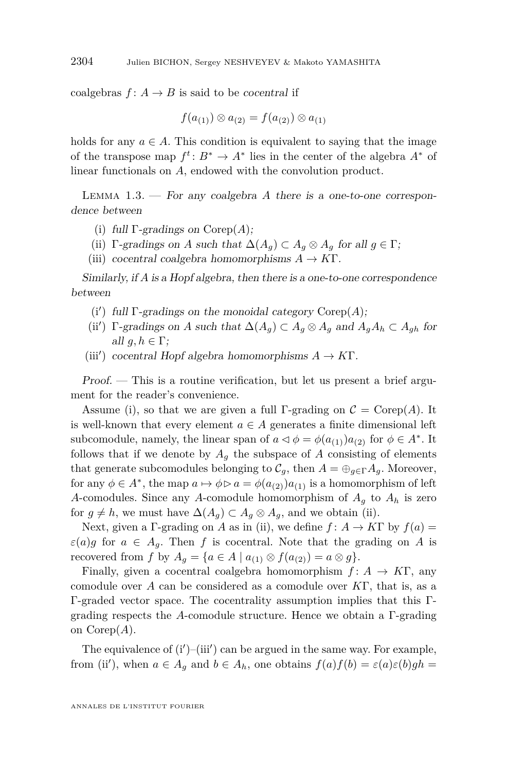coalgebras  $f: A \to B$  is said to be *cocentral* if

$$
f(a_{(1)}) \otimes a_{(2)} = f(a_{(2)}) \otimes a_{(1)}
$$

holds for any  $a \in A$ . This condition is equivalent to saying that the image of the transpose map  $f^t: B^* \to A^*$  lies in the center of the algebra  $A^*$  of linear functionals on *A*, endowed with the convolution product.

<span id="page-6-5"></span>Lemma 1.3. — For any coalgebra *A* there is a one-to-one correspondence between

- <span id="page-6-0"></span>(i) full Γ-gradings on Corep(*A*);
- <span id="page-6-1"></span>(ii)  $\Gamma$ -gradings on *A* such that  $\Delta(A_g) \subset A_g \otimes A_g$  for all  $g \in \Gamma$ ;
- (iii) cocentral coalgebra homomorphisms  $A \to K\Gamma$ .

Similarly, if *A* is a Hopf algebra, then there is a one-to-one correspondence between

- <span id="page-6-2"></span>(i') full  $\Gamma$ -gradings on the monoidal category  $\mathrm{Corep}(A)$ ;
- <span id="page-6-4"></span>(ii')  $\Gamma$ -gradings on *A* such that  $\Delta(A_g) \subset A_g \otimes A_g$  and  $A_g A_h \subset A_{gh}$  for all  $q, h \in \Gamma$ ;
- <span id="page-6-3"></span>(iii') cocentral Hopf algebra homomorphisms  $A \to K\Gamma$ .

Proof. — This is a routine verification, but let us present a brief argument for the reader's convenience.

Assume [\(i\)](#page-6-0), so that we are given a full Γ-grading on  $\mathcal{C} = \text{Corep}(A)$ . It is well-known that every element  $a \in A$  generates a finite dimensional left subcomodule, namely, the linear span of  $a \triangleleft \phi = \phi(a_{(1)})a_{(2)}$  for  $\phi \in A^*$ . It follows that if we denote by  $A_g$  the subspace of  $A$  consisting of elements that generate subcomodules belonging to  $\mathcal{C}_q$ , then  $A = \bigoplus_{q \in \Gamma} A_q$ . Moreover, for any  $\phi \in A^*$ , the map  $a \mapsto \phi \triangleright a = \phi(a_{(2)})a_{(1)}$  is a homomorphism of left *A*-comodules. Since any *A*-comodule homomorphism of *A<sup>g</sup>* to *A<sup>h</sup>* is zero for  $g \neq h$ , we must have  $\Delta(A_g) \subset A_g \otimes A_g$ , and we obtain [\(ii\)](#page-6-1).

Next, given a Γ-grading on *A* as in [\(ii\)](#page-6-1), we define  $f: A \to K\Gamma$  by  $f(a) =$  $\varepsilon(a)g$  for  $a \in A_g$ . Then *f* is cocentral. Note that the grading on *A* is recovered from *f* by  $A_q = \{a \in A \mid a_{(1)} \otimes f(a_{(2)}) = a \otimes g\}.$ 

Finally, given a cocentral coalgebra homomorphism  $f: A \rightarrow K\Gamma$ , any comodule over *A* can be considered as a comodule over *K*Γ, that is, as a Γ-graded vector space. The cocentrality assumption implies that this Γgrading respects the *A*-comodule structure. Hence we obtain a Γ-grading on Corep(*A*).

The equivalence of  $(i')$ - $(iii')$  $(iii')$  can be argued in the same way. For example, from [\(ii](#page-6-4)'), when  $a \in A_g$  and  $b \in A_h$ , one obtains  $f(a)f(b) = \varepsilon(a)\varepsilon(b)gh =$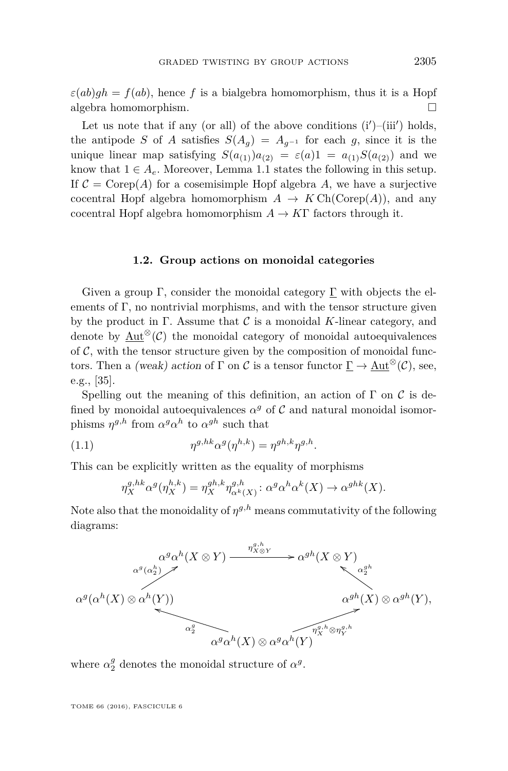$\varepsilon(ab)gh = f(ab)$ , hence *f* is a bialgebra homomorphism, thus it is a Hopf algebra homomorphism.

Let us note that if any (or all) of the above conditions  $(i')$ - $(iii')$  $(iii')$  holds, the antipode *S* of *A* satisfies  $S(A_g) = A_{g^{-1}}$  for each *g*, since it is the unique linear map satisfying  $S(a_{(1)})a_{(2)} = \varepsilon(a)1 = a_{(1)}S(a_{(2)})$  and we know that  $1 \in A_e$ . Moreover, Lemma [1.1](#page-5-0) states the following in this setup. If  $C = \text{Corep}(A)$  for a cosemisimple Hopf algebra A, we have a surjective cocentral Hopf algebra homomorphism  $A \to KCh(Coren(A))$ , and any cocentral Hopf algebra homomorphism  $A \to K\Gamma$  factors through it.

#### **1.2. Group actions on monoidal categories**

<span id="page-7-1"></span>Given a group Γ, consider the monoidal category  $\underline{\Gamma}$  with objects the elements of  $\Gamma$ , no nontrivial morphisms, and with the tensor structure given by the product in  $\Gamma$ . Assume that  $\mathcal C$  is a monoidal *K*-linear category, and denote by Aut<sup>⊗</sup> $(\mathcal{C})$  the monoidal category of monoidal autoequivalences of  $C$ , with the tensor structure given by the composition of monoidal functors. Then a (weak) action of  $\Gamma$  on C is a tensor functor  $\Gamma \to \text{Aut}^{\otimes}(\mathcal{C})$ , see, e.g., [\[35\]](#page-39-3).

Spelling out the meaning of this definition, an action of  $\Gamma$  on  $\mathcal C$  is defined by monoidal autoequivalences  $\alpha^g$  of  $\mathcal C$  and natural monoidal isomorphisms  $\eta^{g,h}$  from  $\alpha^g \alpha^h$  to  $\alpha^{gh}$  such that

(1.1) 
$$
\eta^{g,hk} \alpha^g(\eta^{h,k}) = \eta^{gh,k} \eta^{g,h}.
$$

This can be explicitly written as the equality of morphisms

<span id="page-7-0"></span>
$$
\eta_X^{g,hk} \alpha^g(\eta_X^{h,k}) = \eta_X^{gh,k} \eta_{\alpha^k(X)}^{g,h} : \alpha^g \alpha^h \alpha^k(X) \to \alpha^{ghk}(X).
$$

Note also that the monoidality of  $\eta^{g,h}$  means commutativity of the following diagrams:



where  $\alpha_2^g$  denotes the monoidal structure of  $\alpha^g$ .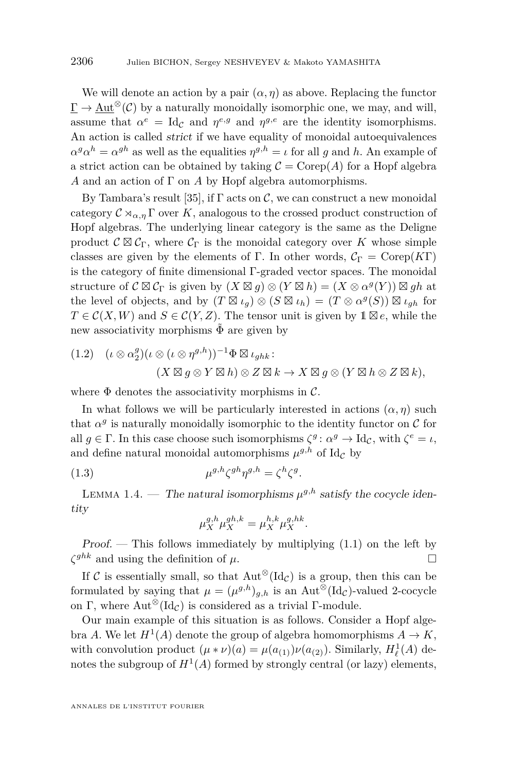We will denote an action by a pair  $(\alpha, \eta)$  as above. Replacing the functor  $\Gamma \to \text{Aut}^{\otimes}(\mathcal{C})$  by a naturally monoidally isomorphic one, we may, and will, assume that  $\alpha^e = \text{Id}_{\mathcal{C}}$  and  $\eta^{e,g}$  and  $\eta^{g,e}$  are the identity isomorphisms. An action is called strict if we have equality of monoidal autoequivalences  $\alpha^g \alpha^h = \alpha^{gh}$  as well as the equalities  $\eta^{g,h} = \iota$  for all *g* and *h*. An example of a strict action can be obtained by taking  $\mathcal{C} = \text{Corep}(A)$  for a Hopf algebra *A* and an action of Γ on *A* by Hopf algebra automorphisms.

By Tambara's result [\[35\]](#page-39-3), if  $\Gamma$  acts on  $\mathcal{C}$ , we can construct a new monoidal category  $\mathcal{C} \rtimes_{\alpha,\eta} \Gamma$  over *K*, analogous to the crossed product construction of Hopf algebras. The underlying linear category is the same as the Deligne product  $\mathcal{C} \boxtimes \mathcal{C}_{\Gamma}$ , where  $\mathcal{C}_{\Gamma}$  is the monoidal category over K whose simple classes are given by the elements of Γ. In other words,  $C_{\Gamma} = \text{Corep}(K\Gamma)$ is the category of finite dimensional Γ-graded vector spaces. The monoidal structure of  $C \boxtimes C_{\Gamma}$  is given by  $(X \boxtimes g) \otimes (Y \boxtimes h) = (X \otimes \alpha^{g}(Y)) \boxtimes gh$  at the level of objects, and by  $(T \boxtimes \iota_g) \otimes (S \boxtimes \iota_h) = (T \otimes \alpha^g(S)) \boxtimes \iota_{gh}$  for  $T \in \mathcal{C}(X, W)$  and  $S \in \mathcal{C}(Y, Z)$ . The tensor unit is given by  $\mathbb{1} \boxtimes e$ , while the new associativity morphisms  $\Phi$  are given by

<span id="page-8-1"></span>
$$
(1.2) \quad (\iota \otimes \alpha_2^g)(\iota \otimes (\iota \otimes \eta^{g,h}))^{-1} \Phi \boxtimes \iota_{ghk} : (X \boxtimes g \otimes Y \boxtimes h) \otimes Z \boxtimes k \to X \boxtimes g \otimes (Y \boxtimes h \otimes Z \boxtimes k),
$$

where  $\Phi$  denotes the associativity morphisms in  $\mathcal{C}$ .

In what follows we will be particularly interested in actions  $(\alpha, \eta)$  such that  $\alpha^g$  is naturally monoidally isomorphic to the identity functor on  $\mathcal C$  for all  $g \in \Gamma$ . In this case choose such isomorphisms  $\zeta^g$ :  $\alpha^g \to \mathrm{Id}_{\mathcal{C}}$ , with  $\zeta^e = \iota$ , and define natural monoidal automorphisms  $\mu^{g,h}$  of Id<sub>C</sub> by

(1.3) 
$$
\mu^{g,h}\zeta^{gh}\eta^{g,h} = \zeta^h\zeta^g.
$$

LEMMA 1.4. — The natural isomorphisms  $\mu^{g,h}$  satisfy the cocycle identity

<span id="page-8-0"></span>
$$
\mu_X^{g,h} \mu_X^{gh,k} = \mu_X^{h,k} \mu_X^{g,hk}.
$$

 $Proof.$  — This follows immediately by multiplying  $(1.1)$  on the left by  $\zeta^{ghk}$  and using the definition of  $\mu$ .

If C is essentially small, so that  $Aut^{\otimes}(\mathrm{Id}_{\mathcal{C}})$  is a group, then this can be formulated by saying that  $\mu = (\mu^{g,h})_{g,h}$  is an Aut<sup>⊗</sup>(Id<sub>C</sub>)-valued 2-cocycle on Γ, where  $\text{Aut}^{\otimes}(\text{Id}_{\mathcal{C}})$  is considered as a trivial Γ-module.

Our main example of this situation is as follows. Consider a Hopf algebra *A*. We let  $H^1(A)$  denote the group of algebra homomorphisms  $A \to K$ , with convolution product  $(\mu * \nu)(a) = \mu(a_{(1)})\nu(a_{(2)})$ . Similarly,  $H^1_\ell(A)$  denotes the subgroup of  $H^1(A)$  formed by strongly central (or lazy) elements,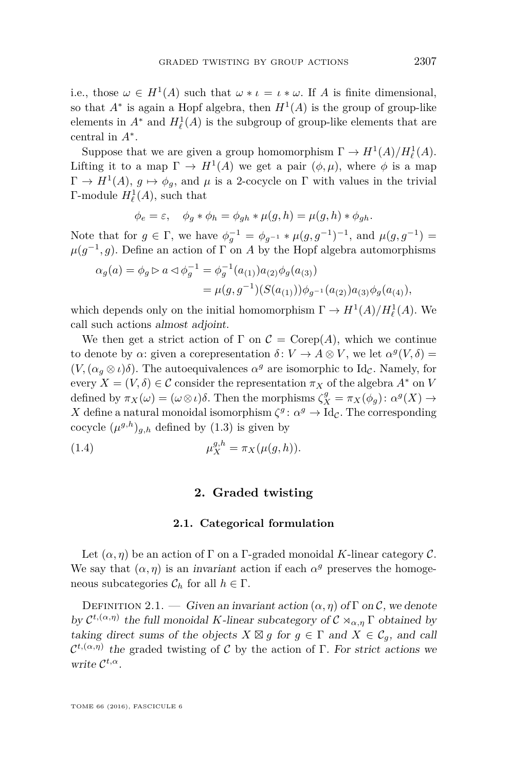i.e., those  $\omega \in H^1(A)$  such that  $\omega * \iota = \iota * \omega$ . If A is finite dimensional, so that  $A^*$  is again a Hopf algebra, then  $H^1(A)$  is the group of group-like elements in  $A^*$  and  $H^1_\ell(A)$  is the subgroup of group-like elements that are central in *A*<sup>∗</sup> .

Suppose that we are given a group homomorphism  $\Gamma \to H^1(A)/H^1_{\ell}(A)$ . Lifting it to a map  $\Gamma \to H^1(A)$  we get a pair  $(\phi, \mu)$ , where  $\phi$  is a map  $\Gamma \to H^1(A)$ ,  $g \mapsto \phi_g$ , and  $\mu$  is a 2-cocycle on  $\Gamma$  with values in the trivial Γ-module  $H^1_\ell(A)$ , such that

$$
\phi_e = \varepsilon, \quad \phi_g * \phi_h = \phi_{gh} * \mu(g, h) = \mu(g, h) * \phi_{gh}.
$$

Note that for  $g \in \Gamma$ , we have  $\phi_g^{-1} = \phi_{g^{-1}} * \mu(g, g^{-1})^{-1}$ , and  $\mu(g, g^{-1}) =$  $\mu(g^{-1}, g)$ . Define an action of  $\Gamma$  on *A* by the Hopf algebra automorphisms

$$
\alpha_g(a) = \phi_g \triangleright a \triangleleft \phi_g^{-1} = \phi_g^{-1}(a_{(1)})a_{(2)}\phi_g(a_{(3)})
$$
  
=  $\mu(g, g^{-1})(S(a_{(1)}))\phi_{g^{-1}}(a_{(2)})a_{(3)}\phi_g(a_{(4)}),$ 

which depends only on the initial homomorphism  $\Gamma \to H^1(A)/H^1_\ell(A)$ . We call such actions almost adjoint.

We then get a strict action of  $\Gamma$  on  $\mathcal{C} = \text{Corep}(A)$ , which we continue to denote by  $\alpha$ : given a corepresentation  $\delta: V \to A \otimes V$ , we let  $\alpha^g(V, \delta) =$  $(V, (\alpha_g \otimes \iota)\delta)$ . The autoequivalences  $\alpha^g$  are isomorphic to Id<sub>C</sub>. Namely, for every  $X = (V, \delta) \in \mathcal{C}$  consider the representation  $\pi_X$  of the algebra  $A^*$  on *V* defined by  $\pi_X(\omega) = (\omega \otimes \iota)\delta$ . Then the morphisms  $\zeta_X^g = \pi_X(\phi_g) : \alpha^g(X) \to$ *X* define a natural monoidal isomorphism  $\zeta^g$ :  $\alpha^g \to \text{Id}_{\mathcal{C}}$ . The corresponding cocycle  $(\mu^{g,h})_{g,h}$  defined by  $(1.3)$  is given by

<span id="page-9-0"></span>(1.4) 
$$
\mu_X^{g,h} = \pi_X(\mu(g,h)).
$$

#### <span id="page-9-1"></span>**2. Graded twisting**

#### **2.1. Categorical formulation**

Let  $(\alpha, \eta)$  be an action of  $\Gamma$  on a  $\Gamma$ -graded monoidal *K*-linear category  $\mathcal{C}$ . We say that  $(\alpha, \eta)$  is an *invariant* action if each  $\alpha^g$  preserves the homogeneous subcategories  $\mathcal{C}_h$  for all  $h \in \Gamma$ .

DEFINITION 2.1. — Given an invariant action  $(\alpha, \eta)$  of  $\Gamma$  on  $\mathcal{C}$ , we denote by  $\mathcal{C}^{t,(\alpha,\eta)}$  the full monoidal *K*-linear subcategory of  $\mathcal{C} \rtimes_{\alpha,\eta} \Gamma$  obtained by taking direct sums of the objects  $X \boxtimes g$  for  $g \in \Gamma$  and  $X \in \mathcal{C}_g$ , and call  $\mathcal{C}^{t,(\alpha,\eta)}$  the graded twisting of C by the action of Γ. For strict actions we write C *t,α*.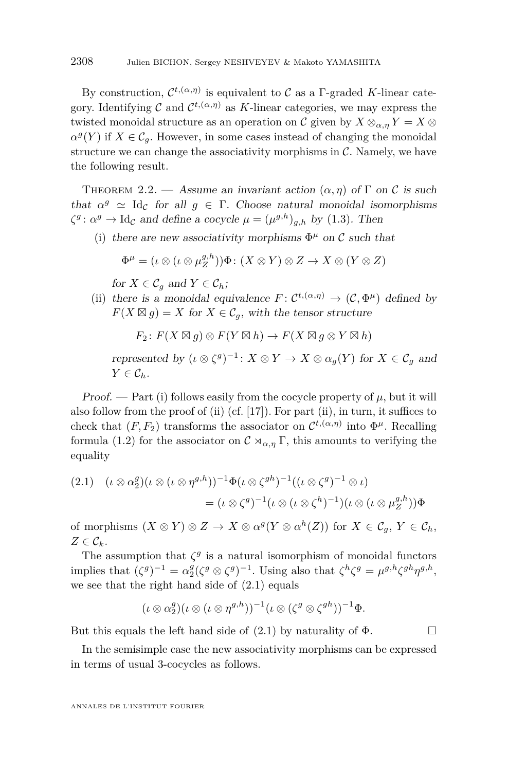By construction,  $\mathcal{C}^{t,(\alpha,\eta)}$  is equivalent to C as a  $\Gamma$ -graded K-linear category. Identifying  $C$  and  $C^{t,(\alpha,\eta)}$  as K-linear categories, we may express the twisted monoidal structure as an operation on C given by  $X \otimes_{\alpha,\eta} Y = X \otimes$  $\alpha^g(Y)$  if  $X \in \mathcal{C}_g$ . However, in some cases instead of changing the monoidal structure we can change the associativity morphisms in  $\mathcal{C}$ . Namely, we have the following result.

<span id="page-10-3"></span>THEOREM 2.2. — Assume an invariant action  $(\alpha, \eta)$  of  $\Gamma$  on  $\mathcal C$  is such that  $\alpha^g \simeq \text{Id}_{\mathcal{C}}$  for all  $g \in \Gamma$ . Choose natural monoidal isomorphisms  $\zeta^g$ :  $\alpha^g \to \text{Id}_{\mathcal{C}}$  and define a cocycle  $\mu = (\mu^{g,h})_{g,h}$  by [\(1.3\)](#page-8-0). Then

<span id="page-10-0"></span>(i) there are new associativity morphisms  $\Phi^{\mu}$  on C such that

$$
\Phi^{\mu} = (\iota \otimes (\iota \otimes \mu_Z^{g,h})) \Phi : (X \otimes Y) \otimes Z \to X \otimes (Y \otimes Z)
$$

for  $X \in \mathcal{C}_q$  and  $Y \in \mathcal{C}_h$ ;

<span id="page-10-1"></span>(ii) there is a monoidal equivalence  $F: C^{t,(\alpha,\eta)} \to (C, \Phi^{\mu})$  defined by  $F(X \boxtimes g) = X$  for  $X \in \mathcal{C}_g$ , with the tensor structure

$$
F_2: F(X \boxtimes g) \otimes F(Y \boxtimes h) \to F(X \boxtimes g \otimes Y \boxtimes h)
$$

represented by  $(\iota \otimes \zeta^g)^{-1}$ :  $X \otimes Y \to X \otimes \alpha_g(Y)$  for  $X \in \mathcal{C}_g$  and  $Y \in \mathcal{C}_h$ .

Proof.  $-$  Part [\(i\)](#page-10-0) follows easily from the cocycle property of  $\mu$ , but it will also follow from the proof of [\(ii\)](#page-10-1) (cf. [\[17\]](#page-38-0)). For part [\(ii\)](#page-10-1), in turn, it suffices to check that  $(F, F_2)$  transforms the associator on  $\mathcal{C}^{t, (\alpha, \eta)}$  into  $\Phi^{\mu}$ . Recalling formula [\(1.2\)](#page-8-1) for the associator on  $\mathcal{C} \rtimes_{\alpha,\eta} \Gamma$ , this amounts to verifying the equality

<span id="page-10-2"></span>
$$
(2.1) \quad (\iota \otimes \alpha_2^g)(\iota \otimes (\iota \otimes \eta^{g,h}))^{-1} \Phi(\iota \otimes \zeta^{gh})^{-1} ((\iota \otimes \zeta^g)^{-1} \otimes \iota)
$$

$$
= (\iota \otimes \zeta^g)^{-1} (\iota \otimes (\iota \otimes \zeta^h)^{-1}) (\iota \otimes (\iota \otimes \mu_Z^{g,h})) \Phi
$$

of morphisms  $(X \otimes Y) \otimes Z \to X \otimes \alpha^g(Y \otimes \alpha^h(Z))$  for  $X \in \mathcal{C}_g$ ,  $Y \in \mathcal{C}_h$ ,  $Z \in \mathcal{C}_k$ .

The assumption that  $\zeta^g$  is a natural isomorphism of monoidal functors implies that  $(\zeta^g)^{-1} = \alpha_2^g (\zeta^g \otimes \zeta^g)^{-1}$ . Using also that  $\zeta^h \zeta^g = \mu^{g,h} \zeta^{gh} \eta^{g,h}$ , we see that the right hand side of [\(2.1\)](#page-10-2) equals

$$
(\iota \otimes \alpha_2^g)(\iota \otimes (\iota \otimes \eta^{g,h}))^{-1}(\iota \otimes (\zeta^g \otimes \zeta^{gh}))^{-1}\Phi.
$$

But this equals the left hand side of  $(2.1)$  by naturality of  $\Phi$ .

In the semisimple case the new associativity morphisms can be expressed in terms of usual 3-cocycles as follows.

ANNALES DE L'INSTITUT FOURIER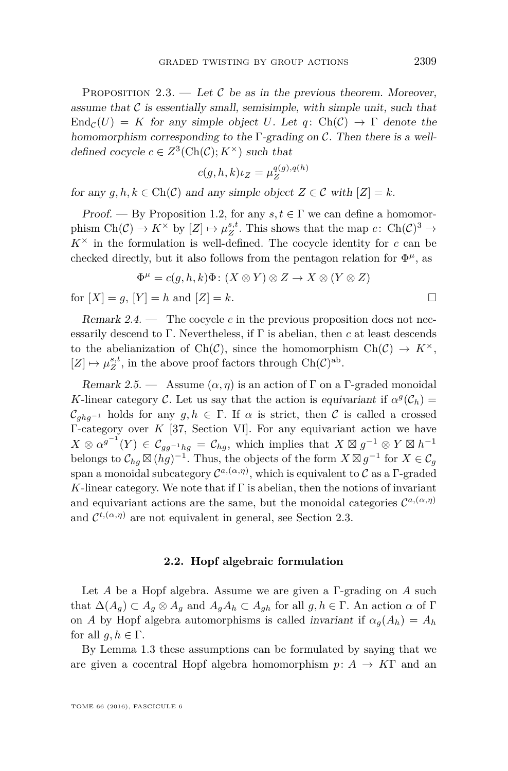<span id="page-11-0"></span>PROPOSITION 2.3. — Let C be as in the previous theorem. Moreover, assume that  $\mathcal C$  is essentially small, semisimple, with simple unit, such that  $\text{End}_{\mathcal{C}}(U) = K$  for any simple object U. Let  $q: \text{Ch}(\mathcal{C}) \to \Gamma$  denote the homomorphism corresponding to the  $\Gamma$ -grading on  $\mathcal{C}$ . Then there is a welldefined cocycle  $c \in Z^3(\text{Ch}(\mathcal{C}); K^\times)$  such that

$$
c(g, h, k)\iota_Z = \mu_Z^{q(g), q(h)}
$$

for any  $g, h, k \in \text{Ch}(\mathcal{C})$  and any simple object  $Z \in \mathcal{C}$  with  $|Z| = k$ .

Proof. — By Proposition [1.2,](#page-5-1) for any  $s, t \in \Gamma$  we can define a homomorphism  $Ch(\mathcal{C}) \to K^{\times}$  by  $[Z] \mapsto \mu_Z^{s,t}$ . This shows that the map  $c: Ch(\mathcal{C})^3 \to$  $K^{\times}$  in the formulation is well-defined. The cocycle identity for *c* can be checked directly, but it also follows from the pentagon relation for  $\Phi^{\mu}$ , as

$$
\Phi^{\mu} = c(g, h, k)\Phi \colon (X \otimes Y) \otimes Z \to X \otimes (Y \otimes Z)
$$

for  $[X] = g$ ,  $[Y] = h$  and  $[Z] = k$ .

Remark 2.4.  $\qquad$  The cocycle *c* in the previous proposition does not necessarily descend to  $\Gamma$ . Nevertheless, if  $\Gamma$  is abelian, then *c* at least descends to the abelianization of Ch(C), since the homomorphism Ch(C)  $\rightarrow K^{\times}$ ,  $[Z] \mapsto \mu_Z^{s,t}$ , in the above proof factors through Ch( $\mathcal{C}$ )<sup>ab</sup>.

Remark 2.5. — Assume  $(\alpha, \eta)$  is an action of  $\Gamma$  on a  $\Gamma$ -graded monoidal *K*-linear category C. Let us say that the action is equivariant if  $\alpha^g(\mathcal{C}_h)$  =  $\mathcal{C}_{ghg^{-1}}$  holds for any  $g, h \in \Gamma$ . If  $\alpha$  is strict, then  $\mathcal C$  is called a crossed Γ-category over *K* [\[37,](#page-39-9) Section VI]. For any equivariant action we have  $X \otimes \alpha^{g^{-1}}(Y) \in \mathcal{C}_{gg^{-1}hg} = \mathcal{C}_{hg}$ , which implies that  $X \boxtimes g^{-1} \otimes Y \boxtimes h^{-1}$ belongs to  $\mathcal{C}_{hg} \boxtimes (hg)^{-1}$ . Thus, the objects of the form  $X \boxtimes g^{-1}$  for  $X \in \mathcal{C}_g$ span a monoidal subcategory  $\mathcal{C}^{a,(\alpha,\eta)}$ , which is equivalent to  $\mathcal C$  as a  $\Gamma$ -graded  $K$ -linear category. We note that if  $\Gamma$  is abelian, then the notions of invariant and equivariant actions are the same, but the monoidal categories  $\mathcal{C}^{a,(\alpha,\eta)}$ and  $\mathcal{C}^{t,(\alpha,\eta)}$  are not equivalent in general, see Section [2.3.](#page-16-0)

#### **2.2. Hopf algebraic formulation**

Let *A* be a Hopf algebra. Assume we are given a Γ-grading on *A* such that  $\Delta(A_q) \subset A_q \otimes A_q$  and  $A_q A_h \subset A_{qh}$  for all  $q, h \in \Gamma$ . An action  $\alpha$  of  $\Gamma$ on *A* by Hopf algebra automorphisms is called *invariant* if  $\alpha_q(A_h) = A_h$ for all  $g, h \in \Gamma$ .

By Lemma [1.3](#page-6-5) these assumptions can be formulated by saying that we are given a cocentral Hopf algebra homomorphism  $p: A \rightarrow K\Gamma$  and an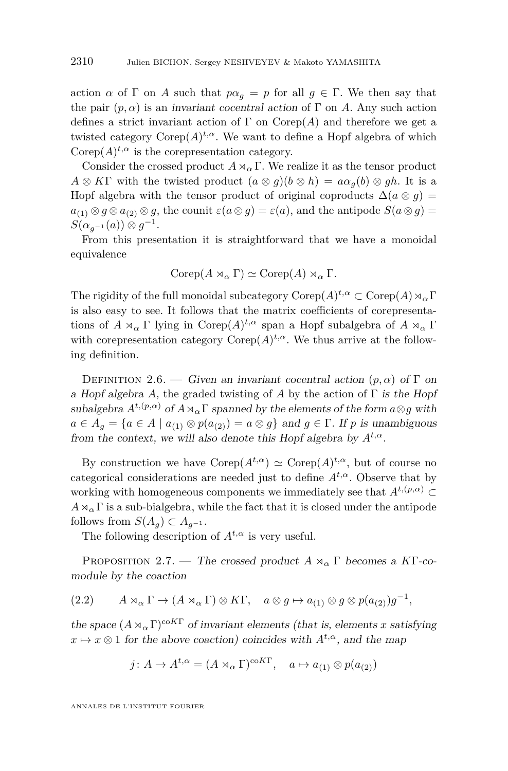action *α* of Γ on *A* such that  $p\alpha_q = p$  for all  $q \in \Gamma$ . We then say that the pair  $(p, \alpha)$  is an *invariant cocentral action* of  $\Gamma$  on *A*. Any such action defines a strict invariant action of  $\Gamma$  on  $\mathrm{Corep}(A)$  and therefore we get a twisted category  $\text{Corep}(A)^{t,\alpha}$ . We want to define a Hopf algebra of which Corep $(A)$ <sup>*t*, $\alpha$ </sup> is the corepresentation category.

Consider the crossed product  $A \rtimes_{\alpha} \Gamma$ . We realize it as the tensor product  $A \otimes K\Gamma$  with the twisted product  $(a \otimes q)(b \otimes h) = a\alpha_q(b) \otimes qh$ . It is a Hopf algebra with the tensor product of original coproducts  $\Delta(a \otimes g)$  =  $a_{(1)} \otimes g \otimes a_{(2)} \otimes g$ , the counit  $\varepsilon(a \otimes g) = \varepsilon(a)$ , and the antipode  $S(a \otimes g) =$  $S(\alpha_{g^{-1}}(a)) \otimes g^{-1}.$ 

From this presentation it is straightforward that we have a monoidal equivalence

$$
Corep(A\rtimes_{\alpha}\Gamma)\simeq Corep(A)\rtimes_{\alpha}\Gamma.
$$

The rigidity of the full monoidal subcategory  $\mathrm{Corep}(A)^{t,\alpha}\subset \mathrm{Corep}(A)\rtimes_{\alpha}\Gamma$ is also easy to see. It follows that the matrix coefficients of corepresentations of  $A \rtimes_{\alpha} \Gamma$  lying in Corep $(A)^{t,\alpha}$  span a Hopf subalgebra of  $A \rtimes_{\alpha} \Gamma$ with corepresentation category  $\text{Corep}(A)^{t,\alpha}$ . We thus arrive at the following definition.

DEFINITION 2.6. — Given an invariant cocentral action  $(p, \alpha)$  of  $\Gamma$  on a Hopf algebra A, the graded twisting of A by the action of  $\Gamma$  is the Hopf subalgebra  $A^{t,(p,\alpha)}$  of  $A \rtimes_{\alpha} \Gamma$  spanned by the elements of the form  $a \otimes g$  with  $a \in A_q = \{a \in A \mid a_{(1)} \otimes p(a_{(2)}) = a \otimes g\}$  and  $g \in \Gamma$ . If *p* is unambiguous from the context, we will also denote this Hopf algebra by  $A^{t,\alpha}$ .

By construction we have  $\text{Corep}(A^{t,\alpha}) \simeq \text{Corep}(A)^{t,\alpha}$ , but of course no categorical considerations are needed just to define  $A^{t,\alpha}$ . Observe that by working with homogeneous components we immediately see that  $A^{t,(p,\alpha)}$  $A \rtimes_{\alpha} \Gamma$  is a sub-bialgebra, while the fact that it is closed under the antipode follows from  $S(A_q) \subset A_{q^{-1}}$ .

The following description of  $A^{t,\alpha}$  is very useful.

<span id="page-12-0"></span>PROPOSITION 2.7. — The crossed product  $A \rtimes_{\alpha} \Gamma$  becomes a KT-comodule by the coaction

(2.2) 
$$
A \rtimes_{\alpha} \Gamma \to (A \rtimes_{\alpha} \Gamma) \otimes K\Gamma, \quad a \otimes g \mapsto a_{(1)} \otimes g \otimes p(a_{(2)})g^{-1},
$$

the space  $(A \rtimes_{\alpha} \Gamma)^{\text{coKT}}$  of invariant elements (that is, elements *x* satisfying  $x \mapsto x \otimes 1$  for the above coaction) coincides with  $A^{t,\alpha}$ , and the map

$$
j: A \to A^{t,\alpha} = (A \rtimes_{\alpha} \Gamma)^{\text{coKT}}, \quad a \mapsto a_{(1)} \otimes p(a_{(2)})
$$

ANNALES DE L'INSTITUT FOURIER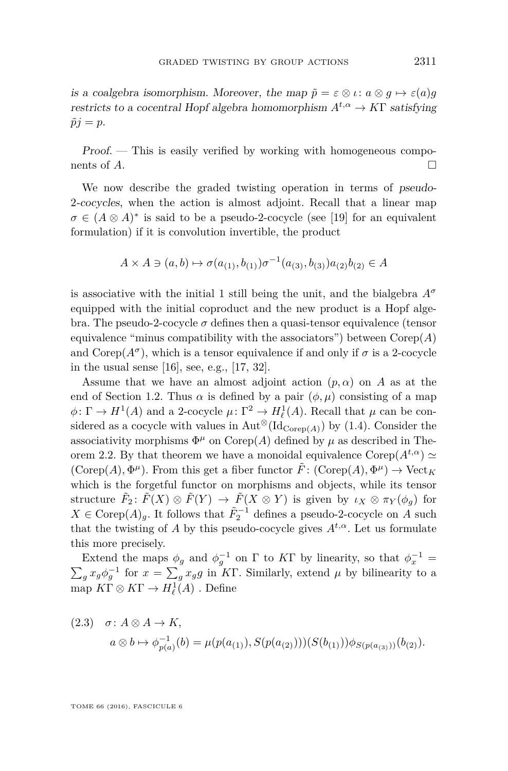is a coalgebra isomorphism. Moreover, the map  $\tilde{p} = \varepsilon \otimes \iota : a \otimes g \mapsto \varepsilon(a)g$ restricts to a cocentral Hopf algebra homomorphism  $A^{t,\alpha} \to K\Gamma$  satisfying  $\tilde{p}j = p.$ 

Proof. — This is easily verified by working with homogeneous components of  $A$ .

We now describe the graded twisting operation in terms of pseudo-2-cocycles, when the action is almost adjoint. Recall that a linear map  $\sigma \in (A \otimes A)^*$  is said to be a pseudo-2-cocycle (see [\[19\]](#page-38-4) for an equivalent formulation) if it is convolution invertible, the product

$$
A \times A \ni (a, b) \mapsto \sigma(a_{(1)}, b_{(1)}) \sigma^{-1}(a_{(3)}, b_{(3)}) a_{(2)} b_{(2)} \in A
$$

is associative with the initial 1 still being the unit, and the bialgebra *A<sup>σ</sup>* equipped with the initial coproduct and the new product is a Hopf algebra. The pseudo-2-cocycle  $\sigma$  defines then a quasi-tensor equivalence (tensor equivalence "minus compatibility with the associators") between  $Corep(A)$ and Corep( $A^{\sigma}$ ), which is a tensor equivalence if and only if  $\sigma$  is a 2-cocycle in the usual sense [\[16\]](#page-38-1), see, e.g., [\[17,](#page-38-0) [32\]](#page-39-10).

Assume that we have an almost adjoint action  $(p, \alpha)$  on *A* as at the end of Section [1.2.](#page-7-1) Thus  $\alpha$  is defined by a pair  $(\phi, \mu)$  consisting of a map  $\phi \colon \Gamma \to H^1(A)$  and a 2-cocycle  $\mu \colon \Gamma^2 \to H^1_{\ell}(A)$ . Recall that  $\mu$  can be considered as a cocycle with values in  $\text{Aut}^{\otimes}(\text{Id}_{\text{Corep}(A)})$  by [\(1.4\)](#page-9-1). Consider the associativity morphisms  $\Phi^{\mu}$  on Corep(A) defined by  $\mu$  as described in The-orem [2.2.](#page-10-3) By that theorem we have a monoidal equivalence  $\text{Corep}(A^{t,\alpha}) \simeq$  $(\text{Corep}(A), \Phi^{\mu})$ . From this get a fiber functor  $\tilde{F}$ :  $(\text{Corep}(A), \Phi^{\mu}) \to \text{Vect}_K$ which is the forgetful functor on morphisms and objects, while its tensor structure  $\tilde{F}_2$ :  $\tilde{F}(X) \otimes \tilde{F}(Y) \to \tilde{F}(X \otimes Y)$  is given by  $\iota_X \otimes \pi_Y(\phi_g)$  for *X* ∈ Corep $(A)$ <sub>*g*</sub>. It follows that  $F_2^{-1}$  defines a pseudo-2-cocycle on *A* such that the twisting of *A* by this pseudo-cocycle gives  $A^{t,\alpha}$ . Let us formulate this more precisely.

Extend the maps  $\phi_g$  and  $\phi_g^{-1}$  on  $\Gamma$  to K $\Gamma$  by linearity, so that  $\phi_x^{-1} =$  $\sum_{g} x_g \phi_g^{-1}$  for  $x = \sum_{g} x_g g$  in K<sub>T</sub>. Similarly, extend  $\mu$  by bilinearity to a map  $K\Gamma \otimes K\Gamma \to H^1_\ell(A)$ . Define

<span id="page-13-0"></span>(2.3) 
$$
\sigma: A \otimes A \to K
$$
,  
\n $a \otimes b \mapsto \phi_{p(a)}^{-1}(b) = \mu(p(a_{(1)}), S(p(a_{(2)}))) (S(b_{(1)})) \phi_{S(p(a_{(3)}))}(b_{(2)}).$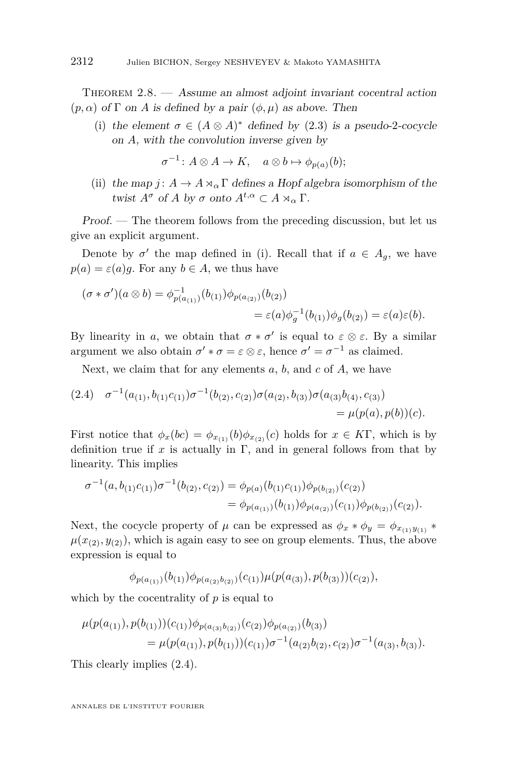<span id="page-14-3"></span>THEOREM  $2.8.$  — Assume an almost adjoint invariant cocentral action  $(p, \alpha)$  of  $\Gamma$  on *A* is defined by a pair  $(\phi, \mu)$  as above. Then

<span id="page-14-0"></span>(i) the element  $\sigma \in (A \otimes A)^*$  defined by [\(2.3\)](#page-13-0) is a pseudo-2-cocycle on *A*, with the convolution inverse given by

 $\sigma^{-1}: A \otimes A \to K$ ,  $a \otimes b \mapsto \phi_{p(a)}(b)$ ;

<span id="page-14-2"></span>(ii) the map *j* :  $A \rightarrow A \rtimes_{\alpha} \Gamma$  defines a Hopf algebra isomorphism of the twist  $A^{\sigma}$  of *A* by  $\sigma$  onto  $A^{t,\alpha} \subset A \rtimes_{\alpha} \Gamma$ .

Proof. — The theorem follows from the preceding discussion, but let us give an explicit argument.

Denote by  $\sigma'$  the map defined in [\(i\)](#page-14-0). Recall that if  $a \in A_g$ , we have  $p(a) = \varepsilon(a)q$ . For any  $b \in A$ , we thus have

$$
(\sigma * \sigma')(a \otimes b) = \phi_{p(a_{(1)})}^{-1}(b_{(1)})\phi_{p(a_{(2)})}(b_{(2)})
$$
  
=  $\varepsilon(a)\phi_g^{-1}(b_{(1)})\phi_g(b_{(2)}) = \varepsilon(a)\varepsilon(b).$ 

By linearity in *a*, we obtain that  $\sigma * \sigma'$  is equal to  $\varepsilon \otimes \varepsilon$ . By a similar argument we also obtain  $\sigma' * \sigma = \varepsilon \otimes \varepsilon$ , hence  $\sigma' = \sigma^{-1}$  as claimed.

Next, we claim that for any elements *a*, *b*, and *c* of *A*, we have

<span id="page-14-1"></span>
$$
(2.4) \quad \sigma^{-1}(a_{(1)}, b_{(1)}c_{(1)})\sigma^{-1}(b_{(2)}, c_{(2)})\sigma(a_{(2)}, b_{(3)})\sigma(a_{(3)}b_{(4)}, c_{(3)})= \mu(p(a), p(b))(c).
$$

First notice that  $\phi_x(bc) = \phi_{x_{(1)}}(b)\phi_{x_{(2)}}(c)$  holds for  $x \in K\Gamma$ , which is by definition true if  $x$  is actually in  $\Gamma$ , and in general follows from that by linearity. This implies

$$
\sigma^{-1}(a, b_{(1)}c_{(1)})\sigma^{-1}(b_{(2)}, c_{(2)}) = \phi_{p(a)}(b_{(1)}c_{(1)})\phi_{p(b_{(2)})}(c_{(2)})
$$
  
=  $\phi_{p(a_{(1)})}(b_{(1)})\phi_{p(a_{(2)})}(c_{(1)})\phi_{p(b_{(2)})}(c_{(2)}).$ 

Next, the cocycle property of  $\mu$  can be expressed as  $\phi_x * \phi_y = \phi_{x_{(1)}y_{(1)}} *$  $\mu(x_{(2)}, y_{(2)})$ , which is again easy to see on group elements. Thus, the above expression is equal to

$$
\phi_{p(a_{(1)})}(b_{(1)})\phi_{p(a_{(2)}b_{(2)})}(c_{(1)})\mu(p(a_{(3)}), p(b_{(3)}))(c_{(2)}),
$$

which by the cocentrality of *p* is equal to

$$
\mu(p(a_{(1)}), p(b_{(1)}))(c_{(1)})\phi_{p(a_{(3)}b_{(2)})}(c_{(2)})\phi_{p(a_{(2)})}(b_{(3)})
$$
  
= 
$$
\mu(p(a_{(1)}), p(b_{(1)}))(c_{(1)})\sigma^{-1}(a_{(2)}b_{(2)}, c_{(2)})\sigma^{-1}(a_{(3)}, b_{(3)}).
$$

This clearly implies [\(2.4\)](#page-14-1).

ANNALES DE L'INSTITUT FOURIER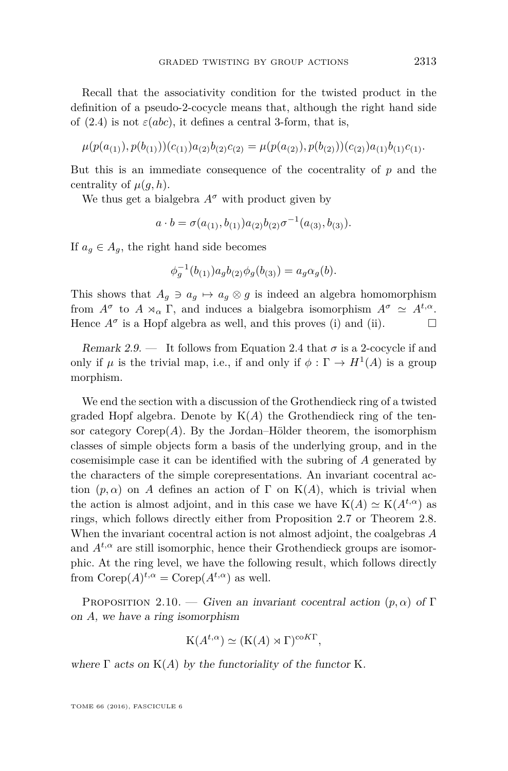Recall that the associativity condition for the twisted product in the definition of a pseudo-2-cocycle means that, although the right hand side of  $(2.4)$  is not  $\varepsilon(abc)$ , it defines a central 3-form, that is,

$$
\mu(p(a_{(1)}), p(b_{(1)}))(c_{(1)})a_{(2)}b_{(2)}c_{(2)} = \mu(p(a_{(2)}), p(b_{(2)}))(c_{(2)})a_{(1)}b_{(1)}c_{(1)}.
$$

But this is an immediate consequence of the cocentrality of *p* and the centrality of  $\mu(q, h)$ .

We thus get a bialgebra  $A^{\sigma}$  with product given by

$$
a \cdot b = \sigma(a_{(1)}, b_{(1)}) a_{(2)} b_{(2)} \sigma^{-1}(a_{(3)}, b_{(3)}).
$$

If  $a_q \in A_q$ , the right hand side becomes

$$
\phi_g^{-1}(b_{(1)}) a_g b_{(2)} \phi_g(b_{(3)}) = a_g \alpha_g(b).
$$

This shows that  $A_g \ni a_g \mapsto a_g \otimes g$  is indeed an algebra homomorphism from  $A^{\sigma}$  to  $A \rtimes_{\alpha} \Gamma$ , and induces a bialgebra isomorphism  $A^{\sigma} \simeq A^{t,\alpha}$ . Hence  $A^{\sigma}$  is a Hopf algebra as well, and this proves [\(i\)](#page-14-0) and [\(ii\)](#page-14-2).

Remark 2.9. — It follows from Equation [2.4](#page-14-1) that  $\sigma$  is a 2-cocycle if and only if  $\mu$  is the trivial map, i.e., if and only if  $\phi : \Gamma \to H^1(A)$  is a group morphism.

We end the section with a discussion of the Grothendieck ring of a twisted graded Hopf algebra. Denote by  $K(A)$  the Grothendieck ring of the tensor category  $\text{Corep}(A)$ . By the Jordan–Hölder theorem, the isomorphism classes of simple objects form a basis of the underlying group, and in the cosemisimple case it can be identified with the subring of *A* generated by the characters of the simple corepresentations. An invariant cocentral action  $(p, \alpha)$  on *A* defines an action of  $\Gamma$  on  $K(A)$ , which is trivial when the action is almost adjoint, and in this case we have  $K(A) \simeq K(A^{t,\alpha})$  as rings, which follows directly either from Proposition [2.7](#page-12-0) or Theorem [2.8.](#page-14-3) When the invariant cocentral action is not almost adjoint, the coalgebras *A* and  $A^{t,\alpha}$  are still isomorphic, hence their Grothendieck groups are isomorphic. At the ring level, we have the following result, which follows directly from  $\text{Corep}(A)^{t,\alpha} = \text{Corep}(A^{t,\alpha})$  as well.

<span id="page-15-0"></span>PROPOSITION 2.10. — Given an invariant cocentral action  $(p, \alpha)$  of Γ on *A*, we have a ring isomorphism

$$
K(A^{t,\alpha}) \simeq (K(A) \rtimes \Gamma)^{\mathrm{coKT}},
$$

where  $\Gamma$  acts on  $K(A)$  by the functoriality of the functor K.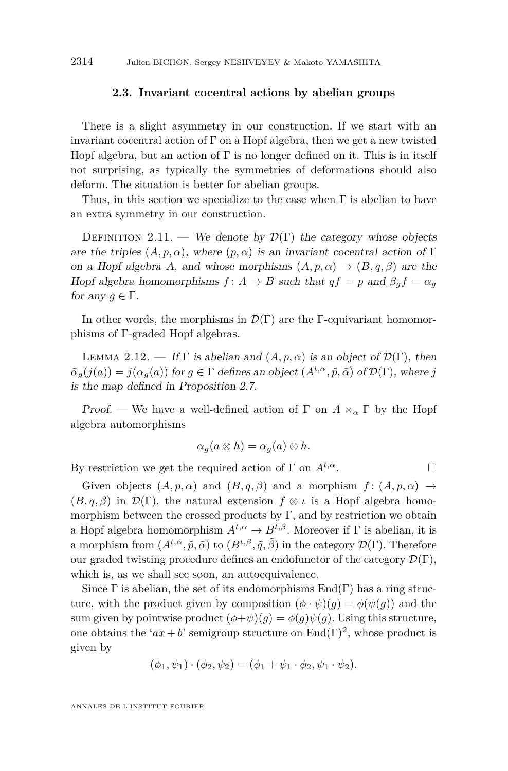#### **2.3. Invariant cocentral actions by abelian groups**

<span id="page-16-0"></span>There is a slight asymmetry in our construction. If we start with an invariant cocentral action of Γ on a Hopf algebra, then we get a new twisted Hopf algebra, but an action of  $\Gamma$  is no longer defined on it. This is in itself not surprising, as typically the symmetries of deformations should also deform. The situation is better for abelian groups.

Thus, in this section we specialize to the case when  $\Gamma$  is abelian to have an extra symmetry in our construction.

DEFINITION 2.11. — We denote by  $\mathcal{D}(\Gamma)$  the category whose objects are the triples  $(A, p, \alpha)$ , where  $(p, \alpha)$  is an invariant cocentral action of Γ on a Hopf algebra *A*, and whose morphisms  $(A, p, \alpha) \rightarrow (B, q, \beta)$  are the Hopf algebra homomorphisms  $f: A \rightarrow B$  such that  $qf = p$  and  $\beta_q f = \alpha_q$ for any  $q \in \Gamma$ .

In other words, the morphisms in  $\mathcal{D}(\Gamma)$  are the Γ-equivariant homomorphisms of Γ-graded Hopf algebras.

LEMMA 2.12. — If  $\Gamma$  is abelian and  $(A, p, \alpha)$  is an object of  $\mathcal{D}(\Gamma)$ , then  $\tilde{\alpha}_g(j(a)) = j(\alpha_g(a))$  for  $g \in \Gamma$  defines an object  $(A^{t,\alpha}, \tilde{p}, \tilde{\alpha})$  of  $\mathcal{D}(\Gamma)$ , where *j* is the map defined in Proposition [2.7.](#page-12-0)

Proof. — We have a well-defined action of  $\Gamma$  on  $A \rtimes_{\alpha} \Gamma$  by the Hopf algebra automorphisms

$$
\alpha_g(a \otimes h) = \alpha_g(a) \otimes h.
$$

By restriction we get the required action of  $\Gamma$  on  $A^{t,\alpha}$ .

Given objects  $(A, p, \alpha)$  and  $(B, q, \beta)$  and a morphism  $f : (A, p, \alpha) \rightarrow$  $(B, q, \beta)$  in  $\mathcal{D}(\Gamma)$ , the natural extension  $f \otimes \iota$  is a Hopf algebra homomorphism between the crossed products by  $\Gamma$ , and by restriction we obtain a Hopf algebra homomorphism  $A^{t,\alpha} \to B^{t,\beta}$ . Moreover if  $\Gamma$  is abelian, it is a morphism from  $(A^{t,\alpha}, \tilde{p}, \tilde{\alpha})$  to  $(B^{t,\beta}, \tilde{q}, \tilde{\beta})$  in the category  $\mathcal{D}(\Gamma)$ . Therefore our graded twisting procedure defines an endofunctor of the category  $\mathcal{D}(\Gamma)$ , which is, as we shall see soon, an autoequivalence.

Since  $\Gamma$  is abelian, the set of its endomorphisms  $\text{End}(\Gamma)$  has a ring structure, with the product given by composition  $(\phi \cdot \psi)(g) = \phi(\psi(g))$  and the sum given by pointwise product  $(\phi + \psi)(q) = \phi(q)\psi(q)$ . Using this structure, one obtains the ' $ax + b$ ' semigroup structure on  $\text{End}(\Gamma)^2$ , whose product is given by

$$
(\phi_1, \psi_1) \cdot (\phi_2, \psi_2) = (\phi_1 + \psi_1 \cdot \phi_2, \psi_1 \cdot \psi_2).
$$

ANNALES DE L'INSTITUT FOURIER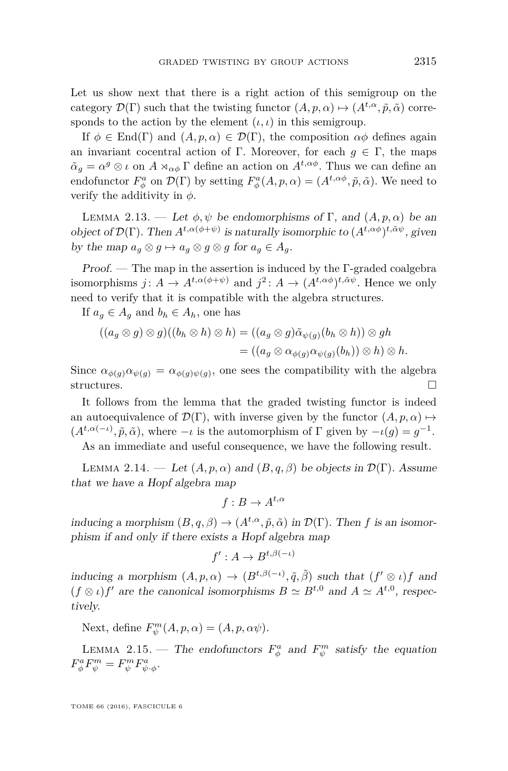Let us show next that there is a right action of this semigroup on the category  $\mathcal{D}(\Gamma)$  such that the twisting functor  $(A, p, \alpha) \mapsto (A^{t,\alpha}, \tilde{p}, \tilde{\alpha})$  corresponds to the action by the element  $(\iota, \iota)$  in this semigroup.

If  $\phi \in \text{End}(\Gamma)$  and  $(A, p, \alpha) \in \mathcal{D}(\Gamma)$ , the composition  $\alpha\phi$  defines again an invariant cocentral action of Γ. Moreover, for each  $q \in \Gamma$ , the maps  $\tilde{\alpha}_g = \alpha^g \otimes \iota$  on  $A \rtimes_{\alpha \phi} \Gamma$  define an action on  $A^{t, \alpha \phi}$ . Thus we can define an endofunctor  $F^a_\phi$  on  $\mathcal{D}(\Gamma)$  by setting  $F^a_\phi(A, p, \alpha) = (A^{t, \alpha\phi}, \tilde{p}, \tilde{\alpha})$ . We need to verify the additivity in *φ*.

LEMMA 2.13. — Let  $\phi, \psi$  be endomorphisms of Γ, and  $(A, p, \alpha)$  be an object of  $\mathcal{D}(\Gamma)$ . Then  $A^{t,\alpha(\phi+\psi)}$  is naturally isomorphic to  $(A^{t,\alpha\phi})^{t,\tilde{\alpha}\psi}$ , given by the map  $a_q \otimes g \mapsto a_q \otimes g \otimes g$  for  $a_q \in A_q$ .

Proof. — The map in the assertion is induced by the Γ-graded coalgebra isomorphisms  $j: A \to A^{t, \alpha(\phi + \psi)}$  and  $j^2: A \to (A^{t, \alpha\phi})^{t, \tilde{\alpha}\psi}$ . Hence we only need to verify that it is compatible with the algebra structures.

If  $a_q \in A_q$  and  $b_h \in A_h$ , one has

$$
((a_g \otimes g) \otimes g)((b_h \otimes h) \otimes h) = ((a_g \otimes g)\tilde{\alpha}_{\psi(g)}(b_h \otimes h)) \otimes gh
$$
  
= 
$$
((a_g \otimes \alpha_{\phi(g)}\alpha_{\psi(g)}(b_h)) \otimes h) \otimes h.
$$

Since  $\alpha_{\phi(g)}\alpha_{\psi(g)} = \alpha_{\phi(g)\psi(g)}$ , one sees the compatibility with the algebra structures.  $\Box$ 

It follows from the lemma that the graded twisting functor is indeed an autoequivalence of  $\mathcal{D}(\Gamma)$ , with inverse given by the functor  $(A, p, \alpha) \mapsto$  $(A^{t,\alpha(-\iota)}, \tilde{p}, \tilde{\alpha})$ , where  $-\iota$  is the automorphism of  $\Gamma$  given by  $-\iota(g) = g^{-1}$ .

As an immediate and useful consequence, we have the following result.

<span id="page-17-0"></span>LEMMA 2.14. — Let  $(A, p, \alpha)$  and  $(B, q, \beta)$  be objects in  $\mathcal{D}(\Gamma)$ . Assume that we have a Hopf algebra map

$$
f: B \to A^{t,\alpha}
$$

inducing a morphism  $(B, q, \beta) \to (A^{t,\alpha}, \tilde{p}, \tilde{\alpha})$  in  $\mathcal{D}(\Gamma)$ . Then *f* is an isomorphism if and only if there exists a Hopf algebra map

$$
f': A \to B^{t,\beta(-\iota)}
$$

inducing a morphism  $(A, p, \alpha) \to (B^{t, \beta(-\iota)}, \tilde{q}, \tilde{\beta})$  such that  $(f' \otimes \iota)f$  and  $(f \otimes i)f'$  are the canonical isomorphisms  $B \simeq B^{t,0}$  and  $A \simeq A^{t,0}$ , respectively.

Next, define  $F^m_{\psi}(A, p, \alpha) = (A, p, \alpha \psi).$ 

LEMMA 2.15. — The endofunctors  $F^a_\phi$  and  $F^m_\psi$  satisfy the equation  $F^a_\phi F^m_\psi = F^m_\psi F^a_{\psi \cdot \phi}.$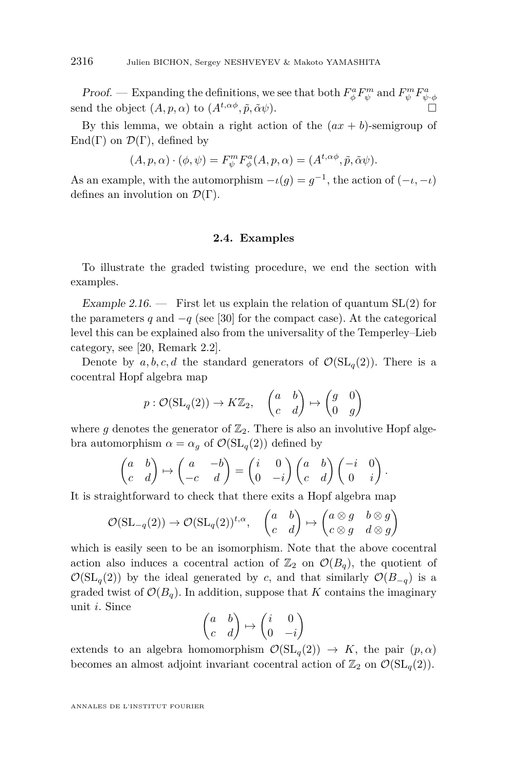Proof. — Expanding the definitions, we see that both  $F_{\phi}^a F_{\psi}^m$  and  $F_{\psi}^m F_{\psi \cdot \phi}^a$ send the object  $(A, p, \alpha)$  to  $(A^{t, \alpha\phi}, \tilde{p}, \tilde{\alpha}\psi)$ .

By this lemma, we obtain a right action of the  $(ax + b)$ -semigroup of End(Γ) on  $\mathcal{D}(\Gamma)$ , defined by

$$
(A, p, \alpha) \cdot (\phi, \psi) = F_{\psi}^{m} F_{\phi}^{a}(A, p, \alpha) = (A^{t, \alpha\phi}, \tilde{p}, \tilde{\alpha}\psi).
$$

As an example, with the automorphism  $-\iota(g) = g^{-1}$ , the action of  $(-\iota, -\iota)$ defines an involution on  $\mathcal{D}(\Gamma)$ .

#### **2.4. Examples**

To illustrate the graded twisting procedure, we end the section with examples.

Example 2.16. – First let us explain the relation of quantum  $SL(2)$  for the parameters *q* and  $-q$  (see [\[30\]](#page-39-1) for the compact case). At the categorical level this can be explained also from the universality of the Temperley–Lieb category, see [\[20,](#page-38-5) Remark 2.2].

Denote by  $a, b, c, d$  the standard generators of  $\mathcal{O}(\mathrm{SL}_q(2))$ . There is a cocentral Hopf algebra map

$$
p: \mathcal{O}(\mathrm{SL}_q(2)) \to K\mathbb{Z}_2
$$
,  $\begin{pmatrix} a & b \\ c & d \end{pmatrix} \mapsto \begin{pmatrix} g & 0 \\ 0 & g \end{pmatrix}$ 

where g denotes the generator of  $\mathbb{Z}_2$ . There is also an involutive Hopf algebra automorphism  $\alpha = \alpha_g$  of  $\mathcal{O}(\mathrm{SL}_q(2))$  defined by

$$
\begin{pmatrix} a & b \\ c & d \end{pmatrix} \mapsto \begin{pmatrix} a & -b \\ -c & d \end{pmatrix} = \begin{pmatrix} i & 0 \\ 0 & -i \end{pmatrix} \begin{pmatrix} a & b \\ c & d \end{pmatrix} \begin{pmatrix} -i & 0 \\ 0 & i \end{pmatrix}.
$$

It is straightforward to check that there exits a Hopf algebra map

$$
\mathcal{O}(\mathrm{SL}_{-q}(2)) \to \mathcal{O}(\mathrm{SL}_{q}(2))^{t,\alpha}, \quad \begin{pmatrix} a & b \\ c & d \end{pmatrix} \mapsto \begin{pmatrix} a \otimes g & b \otimes g \\ c \otimes g & d \otimes g \end{pmatrix}
$$

which is easily seen to be an isomorphism. Note that the above cocentral action also induces a cocentral action of  $\mathbb{Z}_2$  on  $\mathcal{O}(B_q)$ , the quotient of  $\mathcal{O}(\mathrm{SL}_q(2))$  by the ideal generated by *c*, and that similarly  $\mathcal{O}(B_{-q})$  is a graded twist of  $\mathcal{O}(B_q)$ . In addition, suppose that *K* contains the imaginary unit *i*. Since

$$
\begin{pmatrix} a & b \\ c & d \end{pmatrix} \mapsto \begin{pmatrix} i & 0 \\ 0 & -i \end{pmatrix}
$$

extends to an algebra homomorphism  $\mathcal{O}(\mathrm{SL}_q(2)) \to K$ , the pair  $(p, \alpha)$ becomes an almost adjoint invariant cocentral action of  $\mathbb{Z}_2$  on  $\mathcal{O}(\mathrm{SL}_q(2)).$ 

ANNALES DE L'INSTITUT FOURIER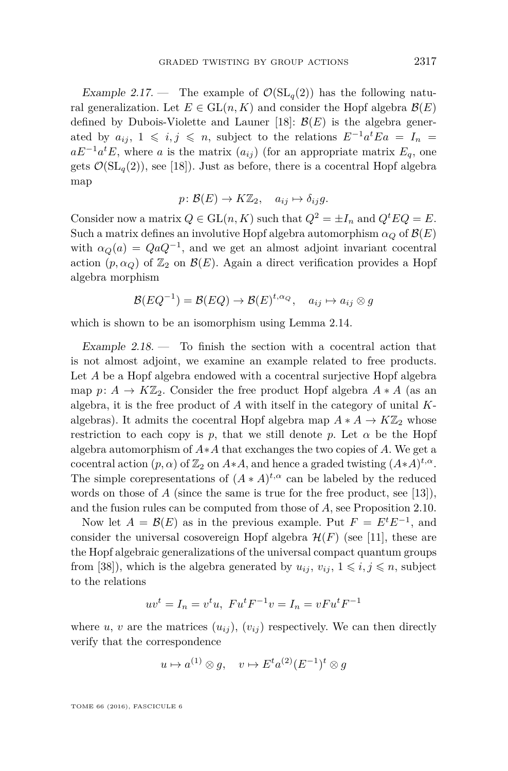<span id="page-19-0"></span>Example 2.17. – The example of  $\mathcal{O}(\mathrm{SL}_q(2))$  has the following natural generalization. Let  $E \in GL(n, K)$  and consider the Hopf algebra  $\mathcal{B}(E)$ defined by Dubois-Violette and Launer [\[18\]](#page-38-6):  $\mathcal{B}(E)$  is the algebra generated by  $a_{ij}$ ,  $1 \leq i, j \leq n$ , subject to the relations  $E^{-1}a^t E a = I_n$  $aE^{-1}a^tE$ , where *a* is the matrix  $(a_{ij})$  (for an appropriate matrix  $E_q$ , one gets  $\mathcal{O}(\mathrm{SL}_q(2))$ , see [\[18\]](#page-38-6)). Just as before, there is a cocentral Hopf algebra map

$$
p\colon \mathcal{B}(E) \to K\mathbb{Z}_2, \quad a_{ij} \mapsto \delta_{ij}g.
$$

Consider now a matrix  $Q \in GL(n, K)$  such that  $Q^2 = \pm I_n$  and  $Q^tEQ = E$ . Such a matrix defines an involutive Hopf algebra automorphism  $\alpha_Q$  of  $\mathcal{B}(E)$ with  $\alpha_Q(a) = QaQ^{-1}$ , and we get an almost adjoint invariant cocentral action  $(p, \alpha_Q)$  of  $\mathbb{Z}_2$  on  $\mathcal{B}(E)$ . Again a direct verification provides a Hopf algebra morphism

$$
\mathcal{B}(EQ^{-1}) = \mathcal{B}(EQ) \to \mathcal{B}(E)^{t, \alpha_Q}, \quad a_{ij} \mapsto a_{ij} \otimes g
$$

which is shown to be an isomorphism using Lemma [2.14.](#page-17-0)

<span id="page-19-1"></span>Example  $2.18$  – To finish the section with a cocentral action that is not almost adjoint, we examine an example related to free products. Let *A* be a Hopf algebra endowed with a cocentral surjective Hopf algebra map *p*:  $A \rightarrow K\mathbb{Z}_2$ . Consider the free product Hopf algebra  $A * A$  (as an algebra, it is the free product of *A* with itself in the category of unital *K*algebras). It admits the cocentral Hopf algebra map  $A * A \to K\mathbb{Z}_2$  whose restriction to each copy is  $p$ , that we still denote  $p$ . Let  $\alpha$  be the Hopf algebra automorphism of *A*∗*A* that exchanges the two copies of *A*. We get a cocentral action  $(p, \alpha)$  of  $\mathbb{Z}_2$  on  $A \ast A$ , and hence a graded twisting  $(A \ast A)^{t, \alpha}$ . The simple corepresentations of  $(A * A)^{t,\alpha}$  can be labeled by the reduced words on those of *A* (since the same is true for the free product, see [\[13\]](#page-38-7)), and the fusion rules can be computed from those of *A*, see Proposition [2.10.](#page-15-0)

Now let  $A = \mathcal{B}(E)$  as in the previous example. Put  $F = E^t E^{-1}$ , and consider the universal cosovereign Hopf algebra  $\mathcal{H}(F)$  (see [\[11\]](#page-38-8), these are the Hopf algebraic generalizations of the universal compact quantum groups from [\[38\]](#page-39-11)), which is the algebra generated by  $u_{ij}$ ,  $v_{ij}$ ,  $1 \leq i, j \leq n$ , subject to the relations

$$
uv^{t} = I_{n} = v^{t}u, \ F u^{t} F^{-1} v = I_{n} = vF u^{t} F^{-1}
$$

where *u*, *v* are the matrices  $(u_{ij})$ ,  $(v_{ij})$  respectively. We can then directly verify that the correspondence

$$
u \mapsto a^{(1)} \otimes g, \quad v \mapsto E^t a^{(2)} (E^{-1})^t \otimes g
$$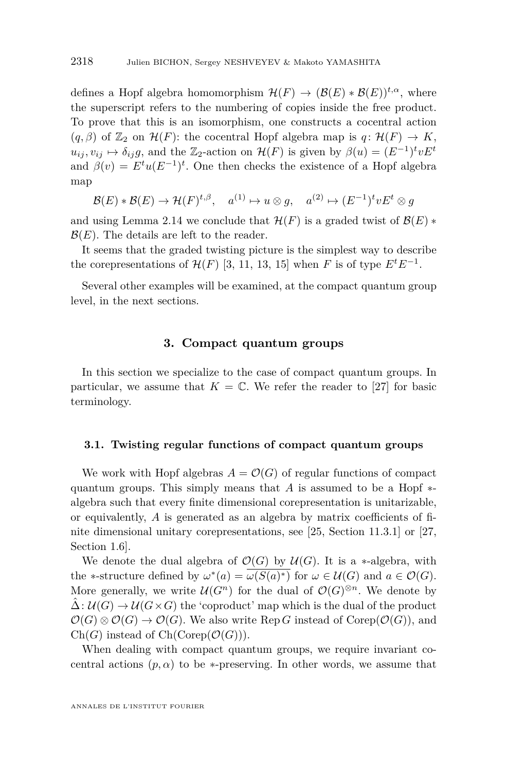defines a Hopf algebra homomorphism  $\mathcal{H}(F) \to (\mathcal{B}(E) * \mathcal{B}(E))^{t,\alpha}$ , where the superscript refers to the numbering of copies inside the free product. To prove that this is an isomorphism, one constructs a cocentral action  $(q, \beta)$  of  $\mathbb{Z}_2$  on  $\mathcal{H}(F)$ : the cocentral Hopf algebra map is  $q: \mathcal{H}(F) \to K$ ,  $u_{ij}, v_{ij} \mapsto \delta_{ij}g$ , and the Z<sub>2</sub>-action on  $\mathcal{H}(F)$  is given by  $\beta(u) = (E^{-1})^t v E^t$ and  $\beta(v) = E^t u (E^{-1})^t$ . One then checks the existence of a Hopf algebra map

$$
\mathcal{B}(E) * \mathcal{B}(E) \to \mathcal{H}(F)^{t,\beta}, \quad a^{(1)} \mapsto u \otimes g, \quad a^{(2)} \mapsto (E^{-1})^t v E^t \otimes g
$$

and using Lemma [2.14](#page-17-0) we conclude that  $\mathcal{H}(F)$  is a graded twist of  $\mathcal{B}(E)$  \*  $\mathcal{B}(E)$ . The details are left to the reader.

It seems that the graded twisting picture is the simplest way to describe the corepresentations of  $\mathcal{H}(F)$  [\[3,](#page-38-9) [11,](#page-38-8) [13,](#page-38-7) [15\]](#page-38-10) when *F* is of type  $E^tE^{-1}$ .

Several other examples will be examined, at the compact quantum group level, in the next sections.

#### **3. Compact quantum groups**

<span id="page-20-0"></span>In this section we specialize to the case of compact quantum groups. In particular, we assume that  $K = \mathbb{C}$ . We refer the reader to [\[27\]](#page-39-12) for basic terminology.

#### **3.1. Twisting regular functions of compact quantum groups**

We work with Hopf algebras  $A = \mathcal{O}(G)$  of regular functions of compact quantum groups. This simply means that *A* is assumed to be a Hopf ∗ algebra such that every finite dimensional corepresentation is unitarizable, or equivalently, *A* is generated as an algebra by matrix coefficients of finite dimensional unitary corepresentations, see [\[25,](#page-39-13) Section 11.3.1] or [\[27,](#page-39-12) Section 1.6].

We denote the dual algebra of  $\mathcal{O}(G)$  by  $\mathcal{U}(G)$ . It is a ∗-algebra, with the \*-structure defined by  $\omega^*(a) = \overline{\omega(S(a)^*)}$  for  $\omega \in \mathcal{U}(G)$  and  $a \in \mathcal{O}(G)$ . More generally, we write  $\mathcal{U}(G^n)$  for the dual of  $\mathcal{O}(G)^{\otimes n}$ . We denote by  $\Delta: \mathcal{U}(G) \to \mathcal{U}(G \times G)$  the 'coproduct' map which is the dual of the product  $\mathcal{O}(G) \otimes \mathcal{O}(G) \to \mathcal{O}(G)$ . We also write Rep G instead of Corep( $\mathcal{O}(G)$ ), and  $Ch(G)$  instead of  $Ch(Corep(\mathcal{O}(G)))$ .

When dealing with compact quantum groups, we require invariant cocentral actions  $(p, \alpha)$  to be  $\ast$ -preserving. In other words, we assume that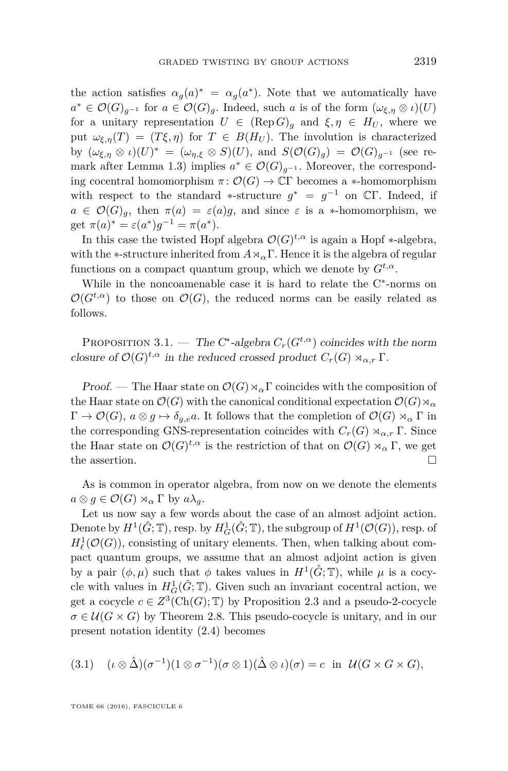the action satisfies  $\alpha_g(a)^* = \alpha_g(a^*)$ . Note that we automatically have  $a^* \in \mathcal{O}(G)_{g^{-1}}$  for  $a \in \mathcal{O}(G)_{g}$ . Indeed, such *a* is of the form  $(\omega_{\xi,\eta} \otimes \iota)(U)$ for a unitary representation  $U \in (\text{Rep } G)_q$  and  $\xi, \eta \in H_U$ , where we put  $\omega_{\xi,n}(T) = (T\xi,\eta)$  for  $T \in B(H_U)$ . The involution is characterized by  $(\omega_{\xi,\eta} \otimes \iota)(U)^* = (\omega_{\eta,\xi} \otimes S)(U)$ , and  $S(\mathcal{O}(G)_g) = \mathcal{O}(G)_{g^{-1}}$  (see re-mark after Lemma [1.3\)](#page-6-5) implies  $a^* \in \mathcal{O}(G)_{g^{-1}}$ . Moreover, the corresponding cocentral homomorphism  $\pi: \mathcal{O}(G) \to \mathbb{C}\Gamma$  becomes a  $*$ -homomorphism with respect to the standard \*-structure  $g^* = g^{-1}$  on  $\mathbb{C}\Gamma$ . Indeed, if  $a \in \mathcal{O}(G)_{a}$ , then  $\pi(a) = \varepsilon(a)g$ , and since  $\varepsilon$  is a \*-homomorphism, we get  $\pi(a)^* = \varepsilon(a^*)g^{-1} = \pi(a^*).$ 

In this case the twisted Hopf algebra  $\mathcal{O}(G)^{t,\alpha}$  is again a Hopf  $*$ -algebra, with the \*-structure inherited from  $A \rtimes_{\alpha} \Gamma$ . Hence it is the algebra of regular functions on a compact quantum group, which we denote by  $G^{t,\alpha}$ .

While in the noncoamenable case it is hard to relate the C<sup>∗</sup> -norms on  $\mathcal{O}(G^{t,\alpha})$  to those on  $\mathcal{O}(G)$ , the reduced norms can be easily related as follows.

<span id="page-21-0"></span>PROPOSITION 3.1. — The C<sup>\*</sup>-algebra  $C_r(G^{t,\alpha})$  coincides with the norm closure of  $\mathcal{O}(G)^{t,\alpha}$  in the reduced crossed product  $C_r(G) \rtimes_{\alpha,r} \Gamma$ .

Proof. — The Haar state on  $\mathcal{O}(G) \rtimes_{\alpha} \Gamma$  coincides with the composition of the Haar state on  $\mathcal{O}(G)$  with the canonical conditional expectation  $\mathcal{O}(G) \rtimes_{\alpha}$  $\Gamma \to \mathcal{O}(G)$ ,  $a \otimes g \mapsto \delta_{q,e}a$ . It follows that the completion of  $\mathcal{O}(G) \rtimes_{\alpha} \Gamma$  in the corresponding GNS-representation coincides with  $C_r(G) \rtimes_{\alpha,r} \Gamma$ . Since the Haar state on  $\mathcal{O}(G)^{t,\alpha}$  is the restriction of that on  $\mathcal{O}(G) \rtimes_{\alpha} \Gamma$ , we get the assertion.  $\Box$ 

As is common in operator algebra, from now on we denote the elements  $a \otimes g \in \mathcal{O}(G) \rtimes_{\alpha} \Gamma$  by  $a\lambda_q$ .

Let us now say a few words about the case of an almost adjoint action. Denote by  $H^1(\hat{G}; \mathbb{T})$ , resp. by  $H^1_G(\hat{G}; \mathbb{T})$ , the subgroup of  $H^1(\mathcal{O}(G))$ , resp. of  $H^1_\ell(\mathcal{O}(G))$ , consisting of unitary elements. Then, when talking about compact quantum groups, we assume that an almost adjoint action is given by a pair  $(\phi, \mu)$  such that  $\phi$  takes values in  $H^1(\hat{G}; \mathbb{T})$ , while  $\mu$  is a cocycle with values in  $H_G^1(\hat{G}; \mathbb{T})$ . Given such an invariant cocentral action, we get a cocycle  $c \in Z^3(\text{Ch}(G); \mathbb{T})$  by Proposition [2.3](#page-11-0) and a pseudo-2-cocycle  $\sigma \in \mathcal{U}(G \times G)$  by Theorem [2.8.](#page-14-3) This pseudo-cocycle is unitary, and in our present notation identity [\(2.4\)](#page-14-1) becomes

(3.1) 
$$
(\iota \otimes \hat{\Delta})(\sigma^{-1})(1 \otimes \sigma^{-1})(\sigma \otimes 1)(\hat{\Delta} \otimes \iota)(\sigma) = c \text{ in } \mathcal{U}(G \times G \times G),
$$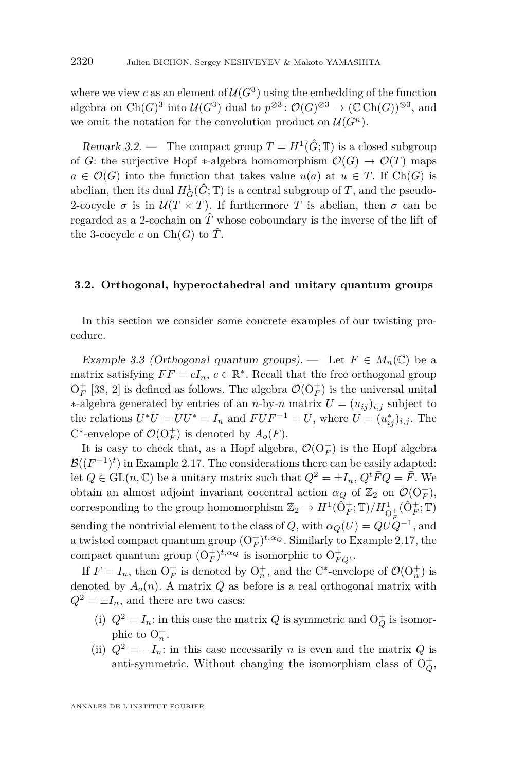where we view *c* as an element of  $U(G^3)$  using the embedding of the function algebra on  $Ch(G)^3$  into  $\mathcal{U}(G^3)$  dual to  $p^{\otimes 3}$ :  $\mathcal{O}(G)^{\otimes 3} \to (\mathbb{C} Ch(G))^{\otimes 3}$ , and we omit the notation for the convolution product on  $\mathcal{U}(G^n)$ .

<span id="page-22-0"></span>Remark 3.2. — The compact group  $T = H^1(\hat{G}; \mathbb{T})$  is a closed subgroup of *G*: the surjective Hopf \*-algebra homomorphism  $\mathcal{O}(G) \to \mathcal{O}(T)$  maps  $a \in \mathcal{O}(G)$  into the function that takes value  $u(a)$  at  $u \in T$ . If Ch(*G*) is abelian, then its dual  $H_G^1(\hat{G}; \mathbb{T})$  is a central subgroup of  $T$ , and the pseudo-2-cocycle  $\sigma$  is in  $\mathcal{U}(T \times T)$ . If furthermore *T* is abelian, then  $\sigma$  can be regarded as a 2-cochain on  $\hat{T}$  whose coboundary is the inverse of the lift of the 3-cocycle *c* on  $Ch(G)$  to  $\hat{T}$ .

#### **3.2. Orthogonal, hyperoctahedral and unitary quantum groups**

In this section we consider some concrete examples of our twisting procedure.

<span id="page-22-1"></span>Example 3.3 (Orthogonal quantum groups). — Let  $F \in M_n(\mathbb{C})$  be a matrix satisfying  $F\overline{F} = cI_n$ ,  $c \in \mathbb{R}^*$ . Recall that the free orthogonal group  $O_F^+$  [\[38,](#page-39-11) [2\]](#page-38-11) is defined as follows. The algebra  $\mathcal{O}(O_F^+)$  is the universal unital ∗-algebra generated by entries of an *n*-by-*n* matrix  $U = (u_{ij})_{i,j}$  subject to the relations  $U^*U = UU^* = I_n$  and  $F\overline{U}F^{-1} = U$ , where  $\overline{U} = (u_{ij}^*)_{i,j}$ . The C<sup>\*</sup>-envelope of  $\mathcal{O}(\mathrm{O}_F^+)$  is denoted by  $A_o(F)$ .

It is easy to check that, as a Hopf algebra,  $\mathcal{O}(\mathrm{O}_F^+)$  is the Hopf algebra  $\mathcal{B}((F^{-1})^t)$  in Example [2.17.](#page-19-0) The considerations there can be easily adapted: let  $Q \in GL(n, \mathbb{C})$  be a unitary matrix such that  $Q^2 = \pm I_n$ ,  $Q^t \overline{F} Q = \overline{F}$ . We obtain an almost adjoint invariant cocentral action  $\alpha_Q$  of  $\mathbb{Z}_2$  on  $\mathcal{O}(\mathrm{O}_F^+)$ , corresponding to the group homomorphism  $\mathbb{Z}_2 \to H^1(\hat{O}_F^+; \mathbb{T})/H^1_{O_F^+}(\hat{O}_F^+; \mathbb{T})$ sending the nontrivial element to the class of  $Q$ , with  $\alpha_Q(U) = QUQ^{-1}$ , and a twisted compact quantum group  $(O_F^+)^{t,\alpha_Q}$ . Similarly to Example [2.17,](#page-19-0) the compact quantum group  $(O_F^+)^{t, \alpha_Q}$  is isomorphic to  $O_{FQ^t}^+$ .

If  $F = I_n$ , then  $O_F^+$  is denoted by  $O_n^+$ , and the C<sup>\*</sup>-envelope of  $\mathcal{O}(O_n^+)$  is denoted by  $A_o(n)$ . A matrix  $Q$  as before is a real orthogonal matrix with  $Q^2 = \pm I_n$ , and there are two cases:

- (i)  $Q^2 = I_n$ : in this case the matrix  $Q$  is symmetric and  $O_Q^+$  is isomorphic to  $O_n^+$ .
- (ii)  $Q^2 = -I_n$ : in this case necessarily *n* is even and the matrix *Q* is anti-symmetric. Without changing the isomorphism class of  $O_Q^+$ ,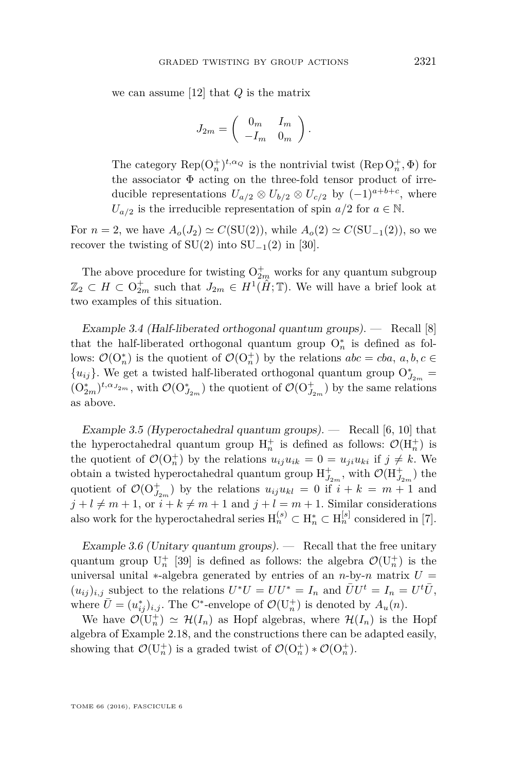we can assume [\[12\]](#page-38-12) that *Q* is the matrix

$$
J_{2m} = \left(\begin{array}{cc} 0_m & I_m \\ -I_m & 0_m \end{array}\right).
$$

The category  $\text{Rep}(O_n^+)^{t, \alpha_Q}$  is the nontrivial twist  $(\text{Rep }O_n^+, \Phi)$  for the associator Φ acting on the three-fold tensor product of irreducible representations  $U_{a/2} \otimes U_{b/2} \otimes U_{c/2}$  by  $(-1)^{a+b+c}$ , where  $U_{a/2}$  is the irreducible representation of spin *a/*2 for  $a \in \mathbb{N}$ .

For  $n = 2$ , we have  $A_o(J_2) \simeq C(SU(2))$ , while  $A_o(2) \simeq C(SU_{-1}(2))$ , so we recover the twisting of  $SU(2)$  into  $SU_{-1}(2)$  in [\[30\]](#page-39-1).

The above procedure for twisting  $O_{2m}^+$  works for any quantum subgroup  $\mathbb{Z}_2 \subset H \subset \mathrm{O}_{2m}^+$  such that  $J_{2m} \in H^1(\hat{H}; \mathbb{T})$ . We will have a brief look at two examples of this situation.

Example 3.4 (Half-liberated orthogonal quantum groups).  $-$  Recall [\[8\]](#page-38-13) that the half-liberated orthogonal quantum group  $O_n^*$  is defined as follows:  $\mathcal{O}(\mathrm{O}_n^*)$  is the quotient of  $\mathcal{O}(\mathrm{O}_n^+)$  by the relations  $abc = cba, a, b, c \in$ { $u_{ij}$ }. We get a twisted half-liberated orthogonal quantum group  $O^*_{J_{2m}}$  =  $(O_{2m}^*)^{t, \alpha_{J_{2m}}}$ , with  $\mathcal{O}(O_{J_{2m}}^*)$  the quotient of  $\mathcal{O}(O_{J_{2m}}^+)$  by the same relations as above.

Example 3.5 (Hyperoctahedral quantum groups).  $-$  Recall [\[6,](#page-38-14) [10\]](#page-38-15) that the hyperoctahedral quantum group  $H_n^+$  is defined as follows:  $\mathcal{O}(H_n^+)$  is the quotient of  $\mathcal{O}(O_n^+)$  by the relations  $u_{ij}u_{ik} = 0 = u_{ji}u_{ki}$  if  $j \neq k$ . We obtain a twisted hyperoctahedral quantum group  $H_{J_{2m}}^{+}$ , with  $\mathcal{O}(H_{J_{2m}}^{+})$  the quotient of  $\mathcal{O}(\mathrm{O}_{J_{2m}}^+)$  by the relations  $u_{ij}u_{kl} = 0$  if  $i + k = m + 1$  and  $j + l \neq m + 1$ , or  $i + k \neq m + 1$  and  $j + l = m + 1$ . Similar considerations also work for the hyperoctahedral series  $H_n^{(s)} \subset H_n^* \subset H_n^{[s]}$  considered in [\[7\]](#page-38-16).

Example 3.6 (Unitary quantum groups).  $\qquad$  Recall that the free unitary quantum group  $U_n^+$  [\[39\]](#page-39-14) is defined as follows: the algebra  $\mathcal{O}(U_n^+)$  is the universal unital  $*$ -algebra generated by entries of an *n*-by-*n* matrix  $U =$  $(u_{ij})_{i,j}$  subject to the relations  $U^*U = U U^* = I_n$  and  $\overline{U} U^t = I_n = U^t \overline{U}$ , where  $\bar{U} = (u_{ij}^*)_{i,j}$ . The C<sup>\*</sup>-envelope of  $\mathcal{O}(\mathrm{U}_n^+)$  is denoted by  $A_u(n)$ .

We have  $\mathcal{O}(U_n^+) \simeq \mathcal{H}(I_n)$  as Hopf algebras, where  $\mathcal{H}(I_n)$  is the Hopf algebra of Example [2.18,](#page-19-1) and the constructions there can be adapted easily, showing that  $\mathcal{O}(\mathrm{U}_n^+)$  is a graded twist of  $\mathcal{O}(\mathrm{O}_n^+) * \mathcal{O}(\mathrm{O}_n^+)$ .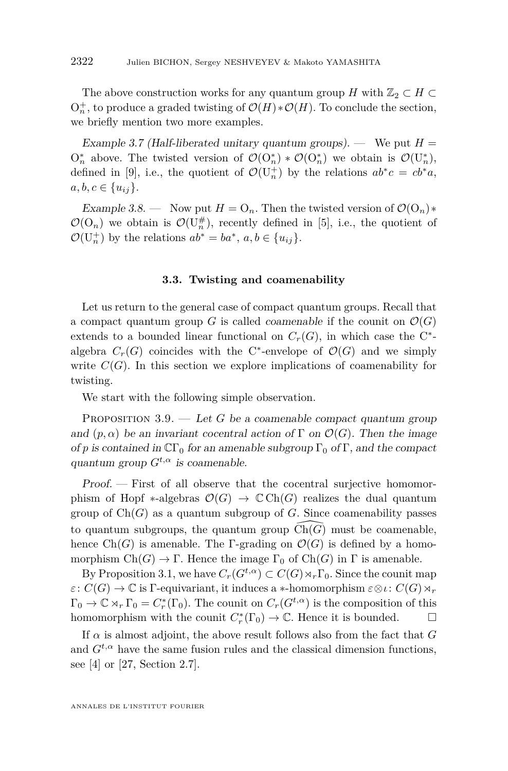The above construction works for any quantum group *H* with  $\mathbb{Z}_2 \subset H \subset$  $O_n^+$ , to produce a graded twisting of  $\mathcal{O}(H) * \mathcal{O}(H)$ . To conclude the section, we briefly mention two more examples.

Example 3.7 (Half-liberated unitary quantum groups). — We put  $H =$  $O_n^*$  above. The twisted version of  $\mathcal{O}(O_n^*) * \mathcal{O}(O_n^*)$  we obtain is  $\mathcal{O}(U_n^*)$ , defined in [\[9\]](#page-38-17), i.e., the quotient of  $\mathcal{O}(U_n^+)$  by the relations  $ab^*c = cb^*a$ ,  $a, b, c \in \{u_{ij}\}.$ 

Example 3.8. — Now put  $H = O_n$ . Then the twisted version of  $\mathcal{O}(O_n)$ \*  $\mathcal{O}(\mathrm{O}_n)$  we obtain is  $\mathcal{O}(\mathrm{U}_n^{\#})$ , recently defined in [\[5\]](#page-38-18), i.e., the quotient of  $\mathcal{O}(\mathbf{U}_n^+)$  by the relations  $ab^* = ba^*$ ,  $a, b \in \{u_{ij}\}.$ 

#### **3.3. Twisting and coamenability**

Let us return to the general case of compact quantum groups. Recall that a compact quantum group *G* is called *coamenable* if the counit on  $\mathcal{O}(G)$ extends to a bounded linear functional on  $C_r(G)$ , in which case the C<sup>\*</sup>algebra  $C_r(G)$  coincides with the C<sup>\*</sup>-envelope of  $\mathcal{O}(G)$  and we simply write  $C(G)$ . In this section we explore implications of coamenability for twisting.

We start with the following simple observation.

<span id="page-24-0"></span>PROPOSITION  $3.9.$  — Let G be a coamenable compact quantum group and  $(p, \alpha)$  be an invariant cocentral action of  $\Gamma$  on  $\mathcal{O}(G)$ . Then the image of *p* is contained in  $\mathbb{C}\Gamma_0$  for an amenable subgroup  $\Gamma_0$  of  $\Gamma$ , and the compact quantum group  $G^{t,\alpha}$  is coamenable.

Proof. — First of all observe that the cocentral surjective homomorphism of Hopf  $*$ -algebras  $\mathcal{O}(G) \to \mathbb{C}Ch(G)$  realizes the dual quantum group of  $Ch(G)$  as a quantum subgroup of *G*. Since coamenability passes to quantum subgroups, the quantum group  $Ch(G)$  must be coamenable, hence  $Ch(G)$  is amenable. The Γ-grading on  $\mathcal{O}(G)$  is defined by a homomorphism  $Ch(G) \to \Gamma$ . Hence the image  $\Gamma_0$  of  $Ch(G)$  in  $\Gamma$  is amenable.

By Proposition [3.1,](#page-21-0) we have  $C_r(G^{t,\alpha}) \subset C(G) \rtimes_r \Gamma_0$ . Since the counit map  $\varepsilon$ :  $C(G) \to \mathbb{C}$  is  $\Gamma$ -equivariant, it induces a ∗-homomorphism  $\varepsilon \otimes \iota$ :  $C(G) \rtimes_r$  $\Gamma_0 \to \mathbb{C} \rtimes_r \Gamma_0 = C_r^*(\Gamma_0)$ . The counit on  $C_r(G^{t,\alpha})$  is the composition of this homomorphism with the counit  $C_r^*(\Gamma_0) \to \mathbb{C}$ . Hence it is bounded.  $\Box$ 

If  $\alpha$  is almost adjoint, the above result follows also from the fact that  $G$ and  $G^{t,\alpha}$  have the same fusion rules and the classical dimension functions, see [\[4\]](#page-38-19) or [\[27,](#page-39-12) Section 2.7].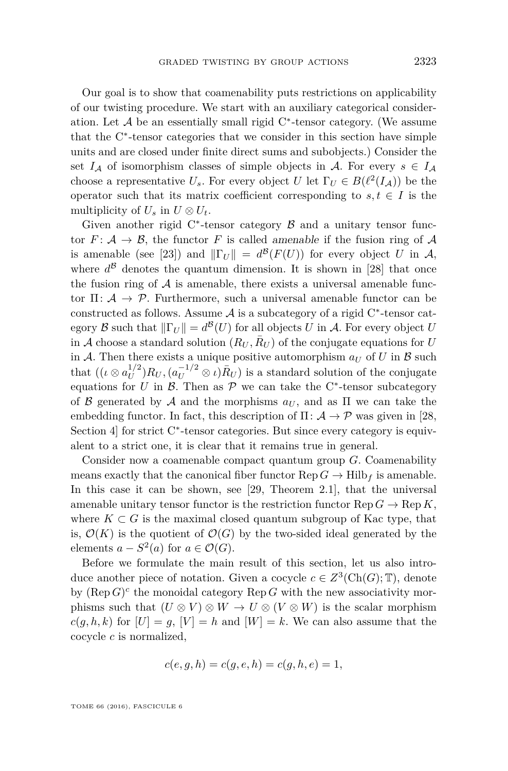Our goal is to show that coamenability puts restrictions on applicability of our twisting procedure. We start with an auxiliary categorical consideration. Let  $A$  be an essentially small rigid  $C^*$ -tensor category. (We assume that the C<sup>∗</sup> -tensor categories that we consider in this section have simple units and are closed under finite direct sums and subobjects.) Consider the set  $I_A$  of isomorphism classes of simple objects in A. For every  $s \in I_A$ choose a representative  $U_s$ . For every object  $U$  let  $\Gamma_U \in B(\ell^2(I_A))$  be the operator such that its matrix coefficient corresponding to  $s, t \in I$  is the multiplicity of  $U_s$  in  $U \otimes U_t$ .

Given another rigid  $C^*$ -tensor category  $\beta$  and a unitary tensor functor  $F: \mathcal{A} \to \mathcal{B}$ , the functor *F* is called amenable if the fusion ring of  $\mathcal{A}$ is amenable (see [\[23\]](#page-39-15)) and  $\|\Gamma_U\| = d^{\mathcal{B}}(F(U))$  for every object *U* in A, where  $d^{\beta}$  denotes the quantum dimension. It is shown in [\[28\]](#page-39-4) that once the fusion ring of  $\mathcal A$  is amenable, there exists a universal amenable functor  $\Pi: \mathcal{A} \to \mathcal{P}$ . Furthermore, such a universal amenable functor can be constructed as follows. Assume  $A$  is a subcategory of a rigid  $C^*$ -tensor category  $\mathcal B$  such that  $\|\Gamma_U\| = d^{\mathcal B}(U)$  for all objects  $U$  in  $\mathcal A$ . For every object  $U$ in A choose a standard solution  $(R_U, \bar{R}_U)$  of the conjugate equations for *U* in A. Then there exists a unique positive automorphism  $a_U$  of U in B such that  $((\iota \otimes a_U^{1/2})$  $U_U^{1/2}$ ) $R_U$ ,  $(a_U^{-1/2} \otimes \iota)R_U$ ) is a standard solution of the conjugate equations for *U* in  $\beta$ . Then as  $\mathcal{P}$  we can take the C<sup>\*</sup>-tensor subcategory of B generated by A and the morphisms  $a_U$ , and as  $\Pi$  we can take the embedding functor. In fact, this description of  $\Pi: \mathcal{A} \to \mathcal{P}$  was given in [\[28,](#page-39-4) Section 4] for strict C<sup>∗</sup>-tensor categories. But since every category is equivalent to a strict one, it is clear that it remains true in general.

Consider now a coamenable compact quantum group *G*. Coamenability means exactly that the canonical fiber functor  $\text{Rep } G \to \text{Hilb}_f$  is amenable. In this case it can be shown, see [\[29,](#page-39-5) Theorem 2.1], that the universal amenable unitary tensor functor is the restriction functor  $\text{Rep } G \to \text{Rep } K$ , where  $K \subset G$  is the maximal closed quantum subgroup of Kac type, that is,  $\mathcal{O}(K)$  is the quotient of  $\mathcal{O}(G)$  by the two-sided ideal generated by the elements  $a - S^2(a)$  for  $a \in \mathcal{O}(G)$ .

Before we formulate the main result of this section, let us also introduce another piece of notation. Given a cocycle  $c \in Z^3(\mathrm{Ch}(G); \mathbb{T})$ , denote by  $(\text{Rep } G)^c$  the monoidal category  $\text{Rep } G$  with the new associativity morphisms such that  $(U \otimes V) \otimes W \to U \otimes (V \otimes W)$  is the scalar morphism  $c(g, h, k)$  for  $|U| = g$ ,  $|V| = h$  and  $|W| = k$ . We can also assume that the cocycle *c* is normalized,

$$
c(e, g, h) = c(g, e, h) = c(g, h, e) = 1,
$$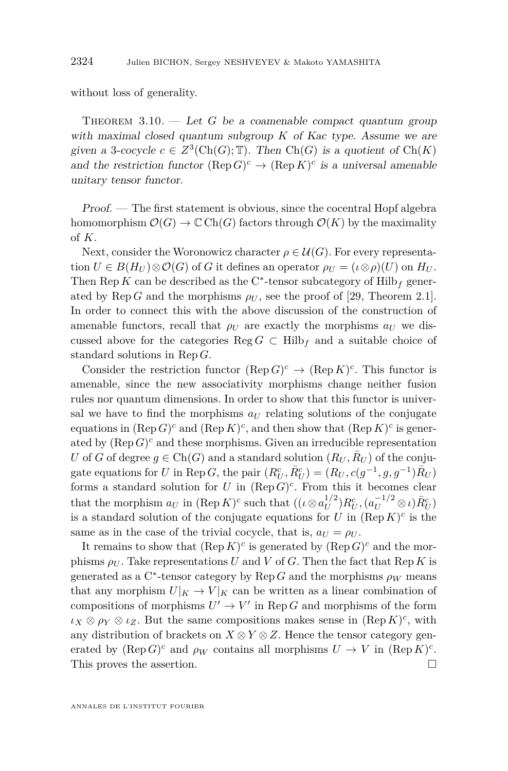without loss of generality.

THEOREM  $3.10.$  — Let *G* be a coamenable compact quantum group with maximal closed quantum subgroup *K* of Kac type. Assume we are given a 3-cocycle  $c \in Z^3(\text{Ch}(G); \mathbb{T})$ . Then  $\text{Ch}(G)$  is a quotient of  $\text{Ch}(K)$ and the restriction functor  $(\text{Rep } G)^c \to (\text{Rep } K)^c$  is a universal amenable unitary tensor functor.

Proof. — The first statement is obvious, since the cocentral Hopf algebra homomorphism  $\mathcal{O}(G) \to \mathbb{C}$  Ch(*G*) factors through  $\mathcal{O}(K)$  by the maximality of *K*.

Next, consider the Woronowicz character  $\rho \in \mathcal{U}(G)$ . For every representa- $U \in B(H_U) \otimes \mathcal{O}(G)$  of *G* it defines an operator  $\rho_U = (\iota \otimes \rho)(U)$  on  $H_U$ . Then  $\mathop{\mathrm{Rep}}\nolimits K$  can be described as the C<sup>∗</sup>-tensor subcategory of  $\mathop{\mathrm{Hilb}}\nolimits_f$  generated by  $\text{Rep } G$  and the morphisms  $\rho_U$ , see the proof of [\[29,](#page-39-5) Theorem 2.1]. In order to connect this with the above discussion of the construction of amenable functors, recall that  $\rho_U$  are exactly the morphisms  $a_U$  we discussed above for the categories Reg  $G \subset Hilb_f$  and a suitable choice of standard solutions in Rep *G*.

Consider the restriction functor  $(\text{Rep } G)^c \to (\text{Rep } K)^c$ . This functor is amenable, since the new associativity morphisms change neither fusion rules nor quantum dimensions. In order to show that this functor is universal we have to find the morphisms  $a_U$  relating solutions of the conjugate equations in  $(\text{Rep } G)^c$  and  $(\text{Rep } K)^c$ , and then show that  $(\text{Rep } K)^c$  is generated by  $(\text{Rep } G)^c$  and these morphisms. Given an irreducible representation *U* of *G* of degree  $g \in \text{Ch}(G)$  and a standard solution  $(R_U, R_U)$  of the conjugate equations for *U* in Rep *G*, the pair  $(R_U^c, \bar{R}_U^c) = (R_U, c(g^{-1}, g, g^{-1})\bar{R}_U)$ forms a standard solution for *U* in  $(\text{Rep } G)^c$ . From this it becomes clear that the morphism  $a_U$  in  $(\text{Rep } K)^c$  such that  $((\iota \otimes a_U^{1/2}))$  $E_U^{1/2}$ )*R*<sup>*c*</sup><sub>*U*</sub></sub>,  $(a_U^{-1/2} \otimes \iota)$ *R*<sup>*c*</sup><sub>*U*</sub></sub>) is a standard solution of the conjugate equations for  $U$  in  $(\text{Rep } K)^c$  is the same as in the case of the trivial cocycle, that is,  $a_U = \rho_U$ .

It remains to show that  $(\text{Rep } K)^c$  is generated by  $(\text{Rep } G)^c$  and the morphisms  $\rho_U$ . Take representations *U* and *V* of *G*. Then the fact that Rep *K* is generated as a C<sup>\*</sup>-tensor category by  $\text{Rep } G$  and the morphisms  $\rho_W$  means that any morphism  $U|_K \to V|_K$  can be written as a linear combination of compositions of morphisms  $U' \to V'$  in Rep *G* and morphisms of the form  $\iota_X \otimes \rho_Y \otimes \iota_Z$ . But the same compositions makes sense in  $(\text{Rep } K)^c$ , with any distribution of brackets on  $X \otimes Y \otimes Z$ . Hence the tensor category generated by  $(\text{Rep } G)^c$  and  $\rho_W$  contains all morphisms  $U \to V$  in  $(\text{Rep } K)^c$ . This proves the assertion.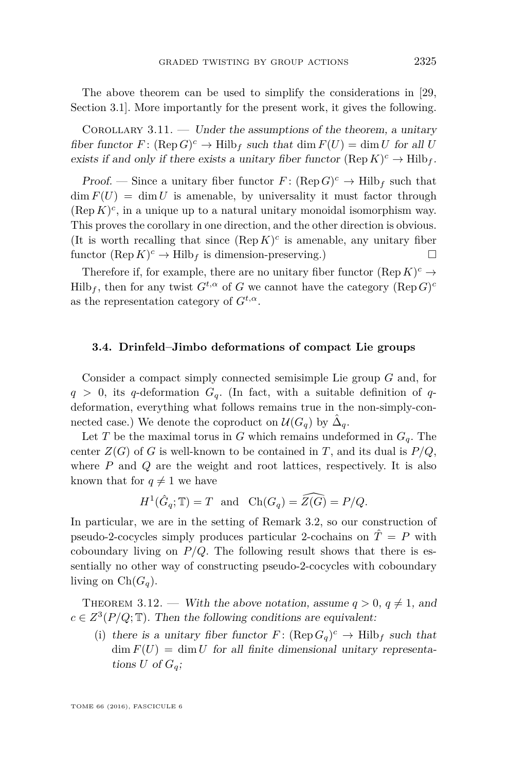The above theorem can be used to simplify the considerations in [\[29,](#page-39-5) Section 3.1]. More importantly for the present work, it gives the following.

<span id="page-27-0"></span>COROLLARY 3.11. — Under the assumptions of the theorem, a unitary fiber functor  $F: (\text{Rep } G)^c \to \text{Hilb}_f$  such that  $\dim F(U) = \dim U$  for all *U* exists if and only if there exists a unitary fiber functor  $(\text{Rep } K)^c \to \text{Hilb}_f$ .

*Proof.* — Since a unitary fiber functor  $F: (\text{Rep } G)^c \to \text{Hilb}_f$  such that  $\dim F(U) = \dim U$  is amenable, by universality it must factor through  $(\text{Rep } K)^c$ , in a unique up to a natural unitary monoidal isomorphism way. This proves the corollary in one direction, and the other direction is obvious. (It is worth recalling that since  $(\text{Rep } K)^c$  is amenable, any unitary fiber functor  $(\text{Rep } K)^c \to \text{Hilb}_f$  is dimension-preserving.)

Therefore if, for example, there are no unitary fiber functor  $(\text{Rep } K)^c \to$  $Hilb_f$ , then for any twist  $G^{t,\alpha}$  of  $G$  we cannot have the category  $(\text{Rep } G)^c$ as the representation category of  $G^{t,\alpha}$ .

#### **3.4. Drinfeld–Jimbo deformations of compact Lie groups**

Consider a compact simply connected semisimple Lie group *G* and, for  $q > 0$ , its *q*-deformation  $G_q$ . (In fact, with a suitable definition of *q*deformation, everything what follows remains true in the non-simply-connected case.) We denote the coproduct on  $\mathcal{U}(G_q)$  by  $\hat{\Delta}_q$ .

Let *T* be the maximal torus in *G* which remains undeformed in  $G_q$ . The center  $Z(G)$  of *G* is well-known to be contained in *T*, and its dual is  $P/Q$ , where *P* and *Q* are the weight and root lattices, respectively. It is also known that for  $q \neq 1$  we have

$$
H^1(\hat{G}_q; \mathbb{T}) = T
$$
 and  $Ch(G_q) = \widehat{Z(G)} = P/Q$ .

In particular, we are in the setting of Remark [3.2,](#page-22-0) so our construction of pseudo-2-cocycles simply produces particular 2-cochains on  $\hat{T} = P$  with coboundary living on  $P/Q$ . The following result shows that there is essentially no other way of constructing pseudo-2-cocycles with coboundary living on  $Ch(G_q)$ .

<span id="page-27-1"></span>THEOREM 3.12. — With the above notation, assume  $q > 0$ ,  $q \neq 1$ , and  $c \in Z^3(P/Q; \mathbb{T})$ . Then the following conditions are equivalent:

<span id="page-27-2"></span>(i) there is a unitary fiber functor  $F: (\text{Rep } G_q)^c \to \text{Hilb}_f$  such that  $\dim F(U) = \dim U$  for all finite dimensional unitary representations  $U$  of  $G_q$ ;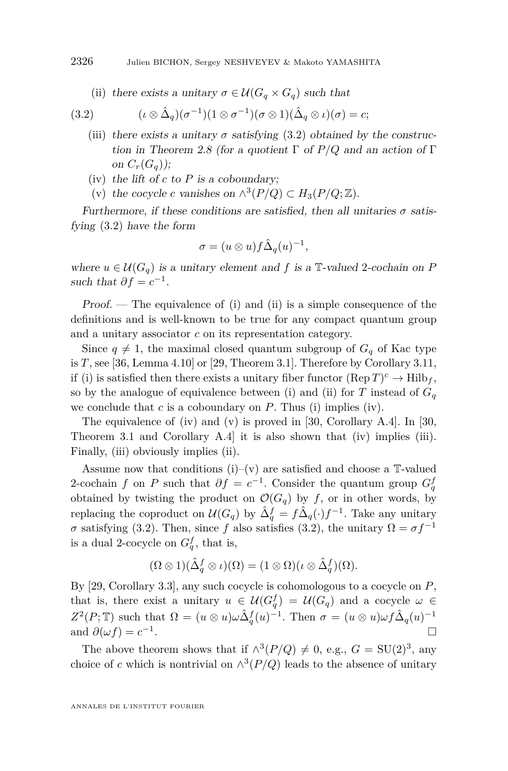<span id="page-28-1"></span><span id="page-28-0"></span>(ii) there exists a unitary  $\sigma \in \mathcal{U}(G_q \times G_q)$  such that

(3.2) 
$$
(\iota \otimes \hat{\Delta}_q)(\sigma^{-1})(1 \otimes \sigma^{-1})(\sigma \otimes 1)(\hat{\Delta}_q \otimes \iota)(\sigma) = c;
$$

- <span id="page-28-4"></span>(iii) there exists a unitary  $\sigma$  satisfying [\(3.2\)](#page-28-0) obtained by the construction in Theorem [2.8](#page-14-3) (for a quotient Γ of *P/Q* and an action of Γ on  $C_r(G_q)$ ;
- <span id="page-28-2"></span>(iv) the lift of *c* to *P* is a coboundary;
- <span id="page-28-3"></span>(v) the cocycle *c* vanishes on  $\wedge^3(P/Q) \subset H_3(P/Q; \mathbb{Z})$ .

Furthermore, if these conditions are satisfied, then all unitaries  $\sigma$  satisfying [\(3.2\)](#page-28-0) have the form

$$
\sigma = (u \otimes u) f \hat{\Delta}_q(u)^{-1},
$$

where  $u \in \mathcal{U}(G_q)$  is a unitary element and f is a  $\mathbb{T}\text{-}$ valued 2-cochain on P such that  $\partial f = c^{-1}$ .

Proof. — The equivalence of [\(i\)](#page-27-2) and [\(ii\)](#page-28-1) is a simple consequence of the definitions and is well-known to be true for any compact quantum group and a unitary associator *c* on its representation category.

Since  $q \neq 1$ , the maximal closed quantum subgroup of  $G_q$  of Kac type is  $T$ , see [\[36,](#page-39-16) Lemma 4.10] or [\[29,](#page-39-5) Theorem 3.1]. Therefore by Corollary [3.11,](#page-27-0) if [\(i\)](#page-27-2) is satisfied then there exists a unitary fiber functor  $(\text{Rep } T)^c \to \text{Hilb}_f$ , so by the analogue of equivalence between [\(i\)](#page-27-2) and [\(ii\)](#page-28-1) for  $T$  instead of  $G_q$ we conclude that *c* is a coboundary on *P*. Thus [\(i\)](#page-27-2) implies [\(iv\)](#page-28-2).

The equivalence of [\(iv\)](#page-28-2) and [\(v\)](#page-28-3) is proved in [\[30,](#page-39-1) Corollary A.4]. In [\[30,](#page-39-1) Theorem 3.1 and Corollary A.4] it is also shown that [\(iv\)](#page-28-2) implies [\(iii\)](#page-28-4). Finally, [\(iii\)](#page-28-4) obviously implies [\(ii\)](#page-28-1).

Assume now that conditions  $(i)-(v)$  $(i)-(v)$  are satisfied and choose a  $T$ -valued 2-cochain *f* on *P* such that  $\partial f = c^{-1}$ . Consider the quantum group  $G_q^f$ obtained by twisting the product on  $\mathcal{O}(G_q)$  by *f*, or in other words, by replacing the coproduct on  $\mathcal{U}(G_q)$  by  $\hat{\Delta}_q^f = f \hat{\Delta}_q(\cdot) f^{-1}$ . Take any unitary *σ* satisfying [\(3.2\)](#page-28-0). Then, since *f* also satisfies (3.2), the unitary  $Ω = σf^{-1}$ is a dual 2-cocycle on  $G_q^f$ , that is,

$$
(\Omega \otimes 1)(\hat{\Delta}_q^f \otimes \iota)(\Omega) = (1 \otimes \Omega)(\iota \otimes \hat{\Delta}_q^f)(\Omega).
$$

By [\[29,](#page-39-5) Corollary 3.3], any such cocycle is cohomologous to a cocycle on *P*, that is, there exist a unitary  $u \in \mathcal{U}(G_q^f) = \mathcal{U}(G_q)$  and a cocycle  $\omega \in$  $Z^2(P; \mathbb{T})$  such that  $\Omega = (u \otimes u)\omega \hat{\Delta}_q^f(u)^{-1}$ . Then  $\sigma = (u \otimes u)\omega f \hat{\Delta}_q(u)^{-1}$ and  $\partial(\omega f) = c^{-1}$ .

The above theorem shows that if  $\wedge^3(P/Q) \neq 0$ , e.g.,  $G = \text{SU}(2)^3$ , any choice of *c* which is nontrivial on  $\wedge^3(P/Q)$  leads to the absence of unitary

ANNALES DE L'INSTITUT FOURIER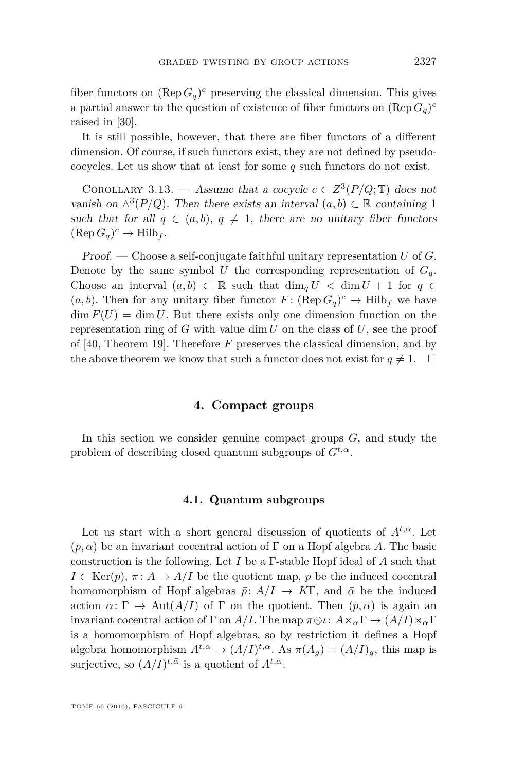fiber functors on  $(\text{Rep } G_q)^c$  preserving the classical dimension. This gives a partial answer to the question of existence of fiber functors on  $(\text{Rep } G_q)^c$ raised in [\[30\]](#page-39-1).

It is still possible, however, that there are fiber functors of a different dimension. Of course, if such functors exist, they are not defined by pseudococycles. Let us show that at least for some *q* such functors do not exist.

<span id="page-29-0"></span>COROLLARY 3.13. — Assume that a cocycle  $c \in Z^3(P/Q; \mathbb{T})$  does not vanish on  $\wedge^3(P/Q)$ . Then there exists an interval  $(a, b) \subset \mathbb{R}$  containing 1 such that for all  $q \in (a, b), q \neq 1$ , there are no unitary fiber functors  $(\text{Rep } G_q)^c \to \text{Hilb}_f.$ 

Proof. — Choose a self-conjugate faithful unitary representation *U* of *G*. Denote by the same symbol *U* the corresponding representation of  $G_q$ . Choose an interval  $(a, b) \subset \mathbb{R}$  such that  $\dim_q U < \dim U + 1$  for  $q \in$  $(a, b)$ . Then for any unitary fiber functor  $F: (\text{Rep } G_q)^c \to \text{Hilb}_f$  we have  $\dim F(U) = \dim U$ . But there exists only one dimension function on the representation ring of  $G$  with value  $\dim U$  on the class of  $U$ , see the proof of [\[40,](#page-39-17) Theorem 19]. Therefore *F* preserves the classical dimension, and by the above theorem we know that such a functor does not exist for  $q \neq 1$ .  $\Box$ 

#### **4. Compact groups**

<span id="page-29-1"></span>In this section we consider genuine compact groups *G*, and study the problem of describing closed quantum subgroups of  $G^{t,\alpha}$ .

#### **4.1. Quantum subgroups**

Let us start with a short general discussion of quotients of  $A^{t,\alpha}$ . Let  $(p, \alpha)$  be an invariant cocentral action of  $\Gamma$  on a Hopf algebra A. The basic construction is the following. Let *I* be a Γ-stable Hopf ideal of *A* such that  $I \subset \text{Ker}(p)$ ,  $\pi: A \to A/I$  be the quotient map,  $\bar{p}$  be the induced cocentral homomorphism of Hopf algebras  $\bar{p}: A/I \rightarrow K\Gamma$ , and  $\bar{\alpha}$  be the induced action  $\bar{\alpha}$ :  $\Gamma \to \text{Aut}(A/I)$  of  $\Gamma$  on the quotient. Then  $(\bar{p}, \bar{\alpha})$  is again an invariant cocentral action of  $\Gamma$  on  $A/I$ . The map  $\pi \otimes \iota: A \rtimes_{\alpha} \Gamma \to (A/I) \rtimes_{\overline{\alpha}} \Gamma$ is a homomorphism of Hopf algebras, so by restriction it defines a Hopf algebra homomorphism  $A^{t,\alpha} \to (A/I)^{t,\bar{\alpha}}$ . As  $\pi(A_g) = (A/I)_g$ , this map is surjective, so  $(A/I)^{t,\bar{\alpha}}$  is a quotient of  $A^{t,\alpha}$ .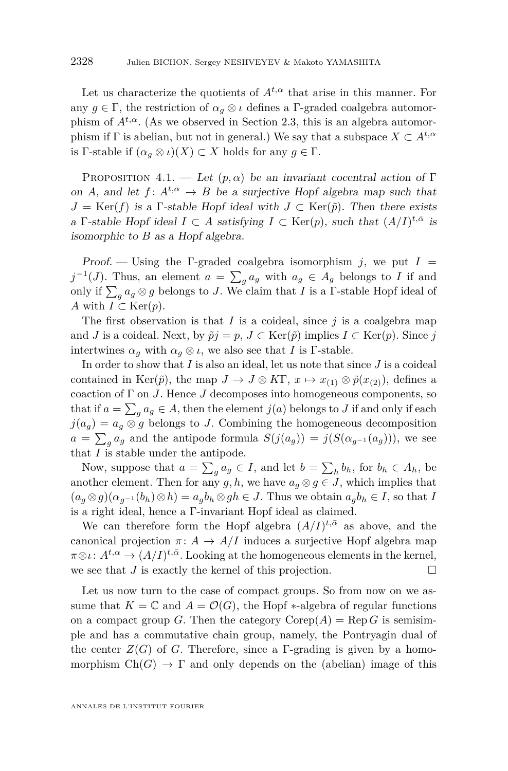Let us characterize the quotients of  $A^{t,\alpha}$  that arise in this manner. For any  $g \in \Gamma$ , the restriction of  $\alpha_g \otimes \iota$  defines a  $\Gamma$ -graded coalgebra automorphism of  $A^{t,\alpha}$ . (As we observed in Section [2.3,](#page-16-0) this is an algebra automorphism if  $\Gamma$  is abelian, but not in general.) We say that a subspace  $X \subset A^{t,\alpha}$ is Γ-stable if  $(\alpha_q \otimes \iota)(X) \subset X$  holds for any  $q \in \Gamma$ .

<span id="page-30-0"></span>PROPOSITION 4.1. — Let  $(p, \alpha)$  be an invariant cocentral action of Γ on *A*, and let  $f: A^{t,\alpha} \to B$  be a surjective Hopf algebra map such that  $J = \text{Ker}(f)$  is a Γ-stable Hopf ideal with  $J \subset \text{Ker}(\tilde{p})$ . Then there exists a Γ-stable Hopf ideal  $I \subset A$  satisfying  $I \subset \text{Ker}(p)$ , such that  $(A/I)^{t,\bar{\alpha}}$  is isomorphic to *B* as a Hopf algebra.

Proof. — Using the  $\Gamma$ -graded coalgebra isomorphism *j*, we put  $I =$  $j^{-1}(J)$ . Thus, an element  $a = \sum_{g} a_g$  with  $a_g \in A_g$  belongs to *I* if and only if  $\sum_{g} a_g \otimes g$  belongs to *J*. We claim that *I* is a *Γ*-stable Hopf ideal of *A* with  $I \subset \text{Ker}(p)$ .

The first observation is that  $I$  is a coideal, since  $j$  is a coalgebra map and *J* is a coideal. Next, by  $\tilde{p}j = p$ ,  $J \subset \text{Ker}(\tilde{p})$  implies  $I \subset \text{Ker}(p)$ . Since *j* intertwines  $\alpha_g$  with  $\alpha_g \otimes \iota$ , we also see that *I* is Γ-stable.

In order to show that *I* is also an ideal, let us note that since *J* is a coideal contained in Ker( $\tilde{p}$ ), the map  $J \to J \otimes K\Gamma$ ,  $x \mapsto x_{(1)} \otimes \tilde{p}(x_{(2)})$ , defines a coaction of Γ on *J*. Hence *J* decomposes into homogeneous components, so that if  $a = \sum_{g} a_g \in A$ , then the element  $j(a)$  belongs to *J* if and only if each  $j(a_q) = a_q \otimes g$  belongs to *J*. Combining the homogeneous decomposition  $a = \sum_{g} a_g$  and the antipode formula  $S(j(a_g)) = j(S(\alpha_{g^{-1}}(a_g)))$ , we see that *I* is stable under the antipode.

Now, suppose that  $a = \sum_{g} a_g \in I$ , and let  $b = \sum_{h} b_h$ , for  $b_h \in A_h$ , be another element. Then for any  $g, h$ , we have  $a_q \otimes g \in J$ , which implies that  $(a_q \otimes g)(\alpha_{q-1}(b_h) \otimes h) = a_qb_h \otimes gh \in J$ . Thus we obtain  $a_qb_h \in I$ , so that *I* is a right ideal, hence a Γ-invariant Hopf ideal as claimed.

We can therefore form the Hopf algebra  $(A/I)^{t,\bar{\alpha}}$  as above, and the canonical projection  $\pi: A \to A/I$  induces a surjective Hopf algebra map  $\pi \otimes \iota \colon A^{t,\alpha} \to (A/I)^{t,\bar{\alpha}}$ . Looking at the homogeneous elements in the kernel, we see that *J* is exactly the kernel of this projection.

Let us now turn to the case of compact groups. So from now on we assume that  $K = \mathbb{C}$  and  $A = \mathcal{O}(G)$ , the Hopf  $*$ -algebra of regular functions on a compact group *G*. Then the category  $\text{Corep}(A) = \text{Rep } G$  is semisimple and has a commutative chain group, namely, the Pontryagin dual of the center  $Z(G)$  of *G*. Therefore, since a Γ-grading is given by a homomorphism  $Ch(G) \to \Gamma$  and only depends on the (abelian) image of this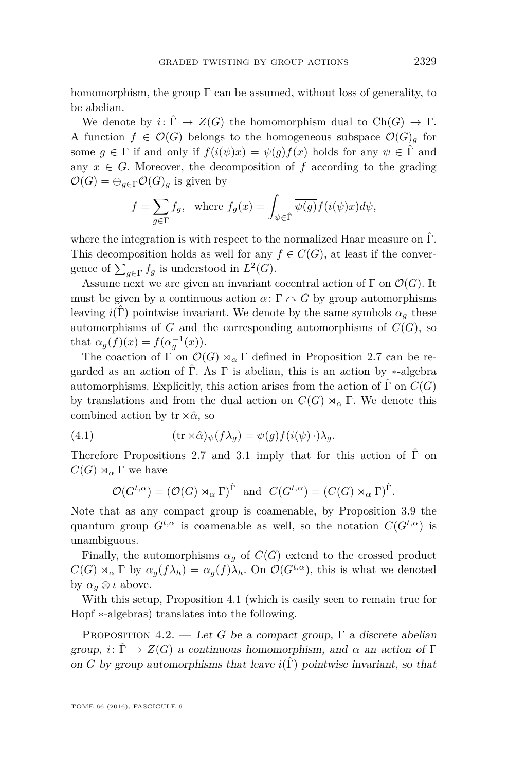homomorphism, the group  $\Gamma$  can be assumed, without loss of generality, to be abelian.

We denote by  $i: \hat{\Gamma} \to Z(G)$  the homomorphism dual to  $Ch(G) \to \Gamma$ . A function  $f \in \mathcal{O}(G)$  belongs to the homogeneous subspace  $\mathcal{O}(G)$ <sub>g</sub> for some  $g \in \Gamma$  if and only if  $f(i(\psi)x) = \psi(g)f(x)$  holds for any  $\psi \in \hat{\Gamma}$  and any  $x \in G$ . Moreover, the decomposition of f according to the grading  $\mathcal{O}(G) = \bigoplus_{q \in \Gamma} \mathcal{O}(G)_q$  is given by

$$
f = \sum_{g \in \Gamma} f_g
$$
, where  $f_g(x) = \int_{\psi \in \hat{\Gamma}} \overline{\psi(g)} f(i(\psi)x) d\psi$ ,

where the integration is with respect to the normalized Haar measure on  $\hat{\Gamma}$ . This decomposition holds as well for any  $f \in C(G)$ , at least if the convergence of  $\sum_{g \in \Gamma} f_g$  is understood in  $L^2(G)$ .

Assume next we are given an invariant cocentral action of  $\Gamma$  on  $\mathcal{O}(G)$ . It must be given by a continuous action  $\alpha: \Gamma \cap G$  by group automorphisms leaving  $i(\Gamma)$  pointwise invariant. We denote by the same symbols  $\alpha_g$  these automorphisms of *G* and the corresponding automorphisms of  $C(G)$ , so that  $\alpha_g(f)(x) = f(\alpha_g^{-1}(x)).$ 

The coaction of  $\Gamma$  on  $\mathcal{O}(G) \rtimes_{\alpha} \Gamma$  defined in Proposition [2.7](#page-12-0) can be regarded as an action of  $\Gamma$ . As  $\Gamma$  is abelian, this is an action by  $\ast$ -algebra automorphisms. Explicitly, this action arises from the action of  $\hat{\Gamma}$  on  $C(G)$ by translations and from the dual action on  $C(G) \rtimes_{\alpha} \Gamma$ . We denote this combined action by  $tr \times \hat{\alpha}$ , so

(4.1) 
$$
(\operatorname{tr} \times \hat{\alpha})_{\psi}(f\lambda_g) = \overline{\psi(g)} f(i(\psi) \cdot \lambda_g).
$$

Therefore Propositions [2.7](#page-12-0) and [3.1](#page-21-0) imply that for this action of  $\hat{\Gamma}$  on  $C(G) \rtimes_{\alpha} \Gamma$  we have

<span id="page-31-1"></span>
$$
\mathcal{O}(G^{t,\alpha}) = (\mathcal{O}(G) \rtimes_{\alpha} \Gamma)^{\hat{\Gamma}} \text{ and } C(G^{t,\alpha}) = (C(G) \rtimes_{\alpha} \Gamma)^{\hat{\Gamma}}.
$$

Note that as any compact group is coamenable, by Proposition [3.9](#page-24-0) the quantum group  $G^{t,\alpha}$  is coamenable as well, so the notation  $C(G^{t,\alpha})$  is unambiguous.

Finally, the automorphisms  $\alpha_q$  of  $C(G)$  extend to the crossed product  $C(G) \rtimes_{\alpha} \Gamma$  by  $\alpha_g(f) \lambda_h = \alpha_g(f) \lambda_h$ . On  $\mathcal{O}(G^{t,\alpha})$ , this is what we denoted by  $\alpha_q \otimes \iota$  above.

With this setup, Proposition [4.1](#page-30-0) (which is easily seen to remain true for Hopf ∗-algebras) translates into the following.

<span id="page-31-0"></span>PROPOSITION 4.2. — Let *G* be a compact group,  $\Gamma$  a discrete abelian group,  $i: \hat{\Gamma} \to Z(G)$  a continuous homomorphism, and  $\alpha$  an action of  $\Gamma$ on *G* by group automorphisms that leave  $i(\hat{\Gamma})$  pointwise invariant, so that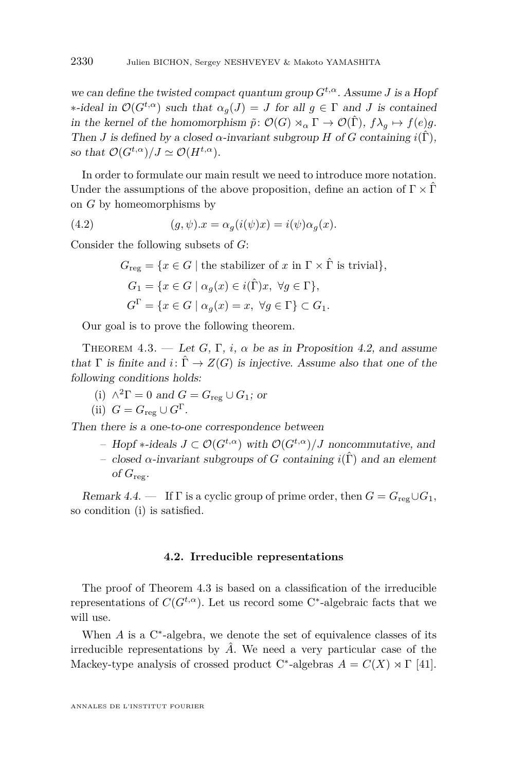we can define the twisted compact quantum group  $G^{t,\alpha}$ . Assume *J* is a Hopf  $∗-ideal$  in  $\mathcal{O}(G^{t,\alpha})$  such that  $α_g(J) = J$  for all  $g ∈ Γ$  and *J* is contained in the kernel of the homomorphism  $\tilde{p}: \mathcal{O}(G) \rtimes_{\alpha} \Gamma \to \mathcal{O}(\hat{\Gamma}),$   $f\lambda_q \mapsto f(e)g$ . Then *J* is defined by a closed  $\alpha$ -invariant subgroup *H* of *G* containing  $i(\hat{\Gamma})$ . so that  $\mathcal{O}(G^{t,\alpha})/J \simeq \mathcal{O}(H^{t,\alpha}).$ 

In order to formulate our main result we need to introduce more notation. Under the assumptions of the above proposition, define an action of  $\Gamma \times \hat{\Gamma}$ on *G* by homeomorphisms by

(4.2) 
$$
(g, \psi).x = \alpha_g(i(\psi)x) = i(\psi)\alpha_g(x).
$$

Consider the following subsets of *G*:

$$
G_{\text{reg}} = \{x \in G \mid \text{the stabilizer of } x \text{ in } \Gamma \times \hat{\Gamma} \text{ is trivial}\},\
$$

$$
G_1 = \{x \in G \mid \alpha_g(x) \in i(\hat{\Gamma})x, \ \forall g \in \Gamma\},\
$$

$$
G^{\Gamma} = \{x \in G \mid \alpha_g(x) = x, \ \forall g \in \Gamma\} \subset G_1.
$$

Our goal is to prove the following theorem.

<span id="page-32-0"></span>THEOREM 4.3. — Let *G*,  $\Gamma$ , *i*,  $\alpha$  be as in Proposition [4.2,](#page-31-0) and assume that  $\Gamma$  is finite and  $i: \hat{\Gamma} \to Z(G)$  is injective. Assume also that one of the following conditions holds:

<span id="page-32-1"></span>(i) 
$$
\wedge^2 \Gamma = 0
$$
 and  $G = G_{\text{reg}} \cup G_1$ ; or

(ii) 
$$
G = G_{\text{reg}} \cup G^{\Gamma}
$$
.

Then there is a one-to-one correspondence between

– Hopf ∗-ideals *J* ⊂ O(*Gt,α*) with O(*Gt,α*)*/J* noncommutative, and – closed α-invariant subgroups of *G* containing  $i(\hat{\Gamma})$  and an element of  $G_{\text{reg}}$ .

Remark 4.4. — If  $\Gamma$  is a cyclic group of prime order, then  $G = G_{\text{reg}} \cup G_1$ , so condition [\(i\)](#page-32-1) is satisfied.

#### **4.2. Irreducible representations**

The proof of Theorem [4.3](#page-32-0) is based on a classification of the irreducible representations of  $C(G^{t,\alpha})$ . Let us record some C<sup>\*</sup>-algebraic facts that we will use.

When  $A$  is a  $C^*$ -algebra, we denote the set of equivalence classes of its irreducible representations by  $\hat{A}$ . We need a very particular case of the Mackey-type analysis of crossed product C<sup>\*</sup>-algebras  $A = C(X) \rtimes \Gamma$  [\[41\]](#page-39-18).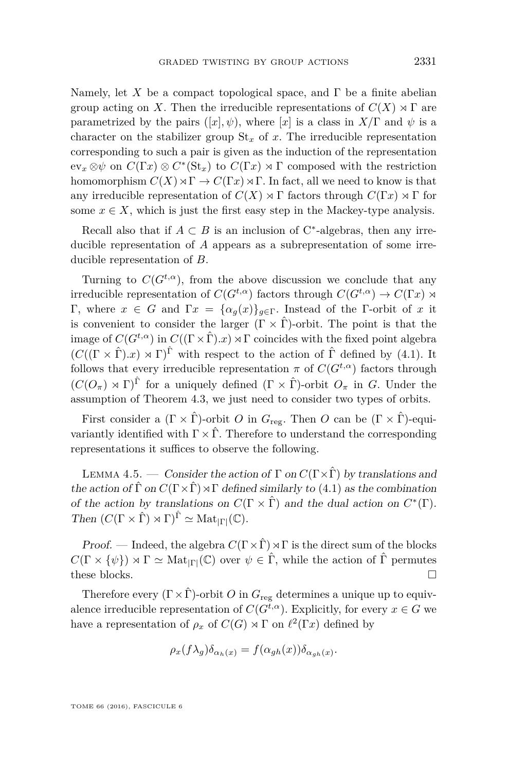Namely, let X be a compact topological space, and  $\Gamma$  be a finite abelian group acting on *X*. Then the irreducible representations of  $C(X) \rtimes \Gamma$  are parametrized by the pairs  $([x], \psi)$ , where  $[x]$  is a class in  $X/\Gamma$  and  $\psi$  is a character on the stabilizer group  $St_x$  of x. The irreducible representation corresponding to such a pair is given as the induction of the representation  $ev_x \otimes \psi$  on  $C(\Gamma x) \otimes C^*(\mathrm{St}_x)$  to  $C(\Gamma x) \rtimes \Gamma$  composed with the restriction homomorphism  $C(X) \rtimes \Gamma \to C(\Gamma x) \rtimes \Gamma$ . In fact, all we need to know is that any irreducible representation of  $C(X) \rtimes \Gamma$  factors through  $C(\Gamma x) \rtimes \Gamma$  for some  $x \in X$ , which is just the first easy step in the Mackey-type analysis.

Recall also that if  $A \subset B$  is an inclusion of C<sup>\*</sup>-algebras, then any irreducible representation of *A* appears as a subrepresentation of some irreducible representation of *B*.

Turning to  $C(G^{t,\alpha})$ , from the above discussion we conclude that any irreducible representation of  $C(G^{t,\alpha})$  factors through  $C(G^{t,\alpha}) \to C(\Gamma x) \rtimes$ Γ, where *x* ∈ *G* and Γ*x* = {*αg*(*x*)}*g*∈Γ. Instead of the Γ-orbit of *x* it is convenient to consider the larger  $(\Gamma \times \hat{\Gamma})$ -orbit. The point is that the image of  $C(G^{t,\alpha})$  in  $C((\Gamma\times \hat{\Gamma}).x)\rtimes\Gamma$  coincides with the fixed point algebra  $(C((\Gamma \times \hat{\Gamma}) \cdot x) \times \Gamma)^{\hat{\Gamma}}$  with respect to the action of  $\hat{\Gamma}$  defined by [\(4.1\)](#page-31-1). It follows that every irreducible representation  $\pi$  of  $C(G^{t,\alpha})$  factors through  $(C(O_{\pi}) \rtimes \Gamma)^{\hat{\Gamma}}$  for a uniquely defined  $(\Gamma \times \hat{\Gamma})$ -orbit  $O_{\pi}$  in *G*. Under the assumption of Theorem [4.3,](#page-32-0) we just need to consider two types of orbits.

First consider a  $(\Gamma \times \hat{\Gamma})$ -orbit *O* in  $G_{\text{rec}}$ . Then *O* can be  $(\Gamma \times \hat{\Gamma})$ -equivariantly identified with  $\Gamma \times \hat{\Gamma}$ . Therefore to understand the corresponding representations it suffices to observe the following.

LEMMA 4.5. — Consider the action of  $\Gamma$  on  $C(\Gamma \times \hat{\Gamma})$  by translations and the action of  $\hat{\Gamma}$  on  $C(\Gamma \times \hat{\Gamma}) \rtimes \Gamma$  defined similarly to [\(4.1\)](#page-31-1) as the combination of the action by translations on  $C(\Gamma \times \hat{\Gamma})$  and the dual action on  $C^*(\Gamma)$ . Then  $(C(\Gamma \times \hat{\Gamma}) \rtimes \Gamma)^{\hat{\Gamma}} \simeq \text{Mat}_{|\Gamma|}(\mathbb{C}).$ 

*Proof.* — Indeed, the algebra  $C(\Gamma \times \hat{\Gamma}) \rtimes \Gamma$  is the direct sum of the blocks  $C(\Gamma \times {\psi}) \rtimes \Gamma \simeq \text{Mat}_{|\Gamma|}(\mathbb{C})$  over  $\psi \in \hat{\Gamma}$ , while the action of  $\hat{\Gamma}$  permutes these blocks.  $\Box$ 

Therefore every  $(\Gamma \times \hat{\Gamma})$ -orbit *O* in  $G_{reg}$  determines a unique up to equivalence irreducible representation of  $C(G^{t,\alpha})$ . Explicitly, for every  $x \in G$  we have a representation of  $\rho_x$  of  $C(G) \rtimes \Gamma$  on  $\ell^2(\Gamma x)$  defined by

$$
\rho_x(f\lambda_g)\delta_{\alpha_h(x)} = f(\alpha_{gh}(x))\delta_{\alpha_{gh}(x)}.
$$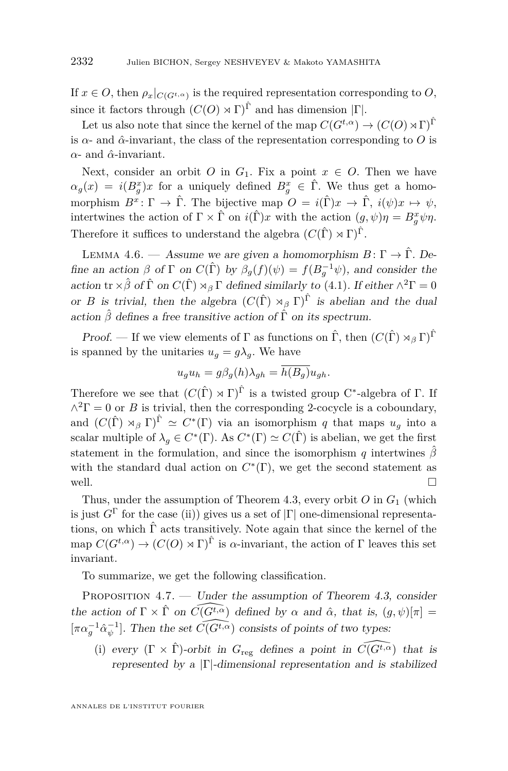If  $x \in O$ , then  $\rho_x|_{C(G^{t,\alpha})}$  is the required representation corresponding to  $O$ , since it factors through  $(C(O) \rtimes \Gamma)^{\hat{\Gamma}}$  and has dimension  $|\Gamma|$ .

Let us also note that since the kernel of the map  $C(G^{t,\alpha}) \to (C(O) \rtimes \Gamma)^{\hat{\Gamma}}$ is  $\alpha$ - and  $\hat{\alpha}$ -invariant, the class of the representation corresponding to O is *α*- and *α*ˆ-invariant.

Next, consider an orbit *O* in  $G_1$ . Fix a point  $x \in O$ . Then we have  $\alpha_g(x) = i(B_g^x)x$  for a uniquely defined  $B_g^x \in \hat{\Gamma}$ . We thus get a homomorphism  $B^x \colon \Gamma \to \hat{\Gamma}$ . The bijective map  $O = i(\hat{\Gamma})x \to \hat{\Gamma}$ ,  $i(\psi)x \mapsto \psi$ , intertwines the action of  $\Gamma \times \hat{\Gamma}$  on  $i(\hat{\Gamma})x$  with the action  $(g, \psi)\eta = B_g^x \psi \eta$ . Therefore it suffices to understand the algebra  $(C(\hat{\Gamma}) \rtimes \Gamma)^{\hat{\Gamma}}$ .

LEMMA 4.6. — Assume we are given a homomorphism  $B: \Gamma \to \hat{\Gamma}$ . Define an action  $\beta$  of  $\Gamma$  on  $C(\hat{\Gamma})$  by  $\beta_g(f)(\psi) = f(B_g^{-1}\psi)$ , and consider the action  $\text{tr } \times \hat{\beta}$  of  $\hat{\Gamma}$  on  $C(\hat{\Gamma}) \rtimes_{\beta} \Gamma$  defined similarly to [\(4.1\)](#page-31-1). If either  $\wedge^2 \Gamma = 0$ or *B* is trivial, then the algebra  $(C(\hat{\Gamma}) \rtimes_{\beta} \Gamma)^{\hat{\Gamma}}$  is abelian and the dual action  $\hat{\beta}$  defines a free transitive action of  $\hat{\Gamma}$  on its spectrum.

Proof. — If we view elements of  $\Gamma$  as functions on  $\hat{\Gamma}$ , then  $(C(\hat{\Gamma}) \rtimes_A \Gamma)^{\hat{\Gamma}}$ is spanned by the unitaries  $u_g = g\lambda_g$ . We have

$$
u_g u_h = g\beta_g(h)\lambda_{gh} = \overline{h(B_g)}u_{gh}.
$$

Therefore we see that  $(C(\hat{\Gamma}) \rtimes \Gamma)^{\hat{\Gamma}}$  is a twisted group C<sup>\*</sup>-algebra of  $\Gamma$ . If  $\wedge^2 \Gamma = 0$  or *B* is trivial, then the corresponding 2-cocycle is a coboundary, and  $(C(\hat{\Gamma}) \rtimes_{\beta} \Gamma)^{\hat{\Gamma}} \simeq C^*(\Gamma)$  via an isomorphism *q* that maps  $u_g$  into a scalar multiple of  $\lambda_g \in C^*(\Gamma)$ . As  $C^*(\Gamma) \simeq C(\hat{\Gamma})$  is abelian, we get the first statement in the formulation, and since the isomorphism *q* intertwines  $\hat{\beta}$ with the standard dual action on  $C^*(\Gamma)$ , we get the second statement as well.  $\Box$ 

Thus, under the assumption of Theorem [4.3,](#page-32-0) every orbit *O* in *G*<sup>1</sup> (which is just  $G^{\Gamma}$  for the case (ii)) gives us a set of  $|\Gamma|$  one-dimensional representations, on which  $\hat{\Gamma}$  acts transitively. Note again that since the kernel of the map  $C(G^{t,\alpha}) \to (C(O) \rtimes \Gamma)^{\hat{\Gamma}}$  is  $\alpha$ -invariant, the action of  $\Gamma$  leaves this set invariant.

To summarize, we get the following classification.

<span id="page-34-0"></span>PROPOSITION  $4.7.$  — Under the assumption of Theorem [4.3,](#page-32-0) consider the action of  $\Gamma \times \hat{\Gamma}$  on  $\widehat{C(G^t, \alpha)}$  defined by  $\alpha$  and  $\hat{\alpha}$ , that is,  $(g, \psi)[\pi] =$  $[\pi \alpha_g^{-1} \hat{\alpha}_{\psi}^{-1}]$ . Then the set  $\widehat{C(G^{\sharp,\alpha})}$  consists of points of two types:

<span id="page-34-1"></span>(i) every  $(\Gamma \times \hat{\Gamma})$ -orbit in  $G_{\text{reg}}$  defines a point in  $\widehat{C(G^{t,\alpha})}$  that is represented by a  $|\Gamma|$ -dimensional representation and is stabilized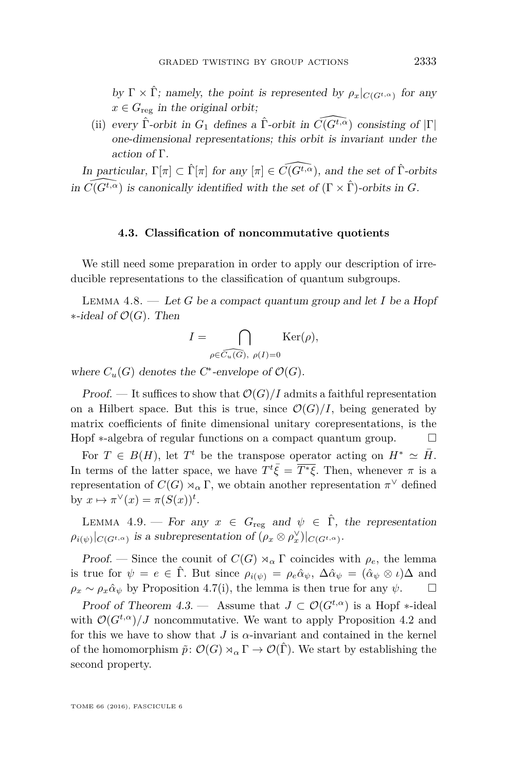by  $\Gamma \times \hat{\Gamma}$ ; namely, the point is represented by  $\rho_x|_{C(G^t,\alpha)}$  for any  $x \in G_{\text{reg}}$  in the original orbit;

(ii) every  $\hat{\Gamma}$ -orbit in  $G_1$  defines a  $\hat{\Gamma}$ -orbit in  $\widehat{C}(G^{\hat{t},\alpha})$  consisting of  $|\Gamma|$ one-dimensional representations; this orbit is invariant under the action of Γ.

In particular,  $\Gamma[\pi] \subset \hat{\Gamma}[\pi]$  for any  $[\pi] \in \widehat{C(G^{t,\alpha})}$ , and the set of  $\hat{\Gamma}$ -orbits in  $\widehat{C(G^{t,\alpha})}$  is canonically identified with the set of  $(\Gamma \times \widehat{\Gamma})$ -orbits in *G*.

#### **4.3. Classification of noncommutative quotients**

We still need some preparation in order to apply our description of irreducible representations to the classification of quantum subgroups.

<span id="page-35-0"></span>Lemma 4.8. — Let *G* be a compact quantum group and let *I* be a Hopf ∗-ideal of O(*G*). Then

$$
I = \bigcap_{\rho \in \widehat{C_u(G)}, \ \rho(I)=0} \mathrm{Ker}(\rho),
$$

where  $C_u(G)$  denotes the C<sup>\*</sup>-envelope of  $\mathcal{O}(G)$ .

Proof. — It suffices to show that  $\mathcal{O}(G)/I$  admits a faithful representation on a Hilbert space. But this is true, since  $\mathcal{O}(G)/I$ , being generated by matrix coefficients of finite dimensional unitary corepresentations, is the Hopf ∗-algebra of regular functions on a compact quantum group.  $\Box$ 

For  $T \in B(H)$ , let  $T^t$  be the transpose operator acting on  $H^* \simeq \bar{H}$ . In terms of the latter space, we have  $T^t\bar{\xi} = \overline{T^*\xi}$ . Then, whenever  $\pi$  is a representation of  $C(G) \rtimes_{\alpha} \Gamma$ , we obtain another representation  $\pi^{\vee}$  defined by  $x \mapsto \pi^{\vee}(x) = \pi(S(x))^t$ .

<span id="page-35-1"></span>LEMMA 4.9. — For any  $x \in G_{reg}$  and  $\psi \in \hat{\Gamma}$ , the representation  $\rho_i(\psi)|_{C(G^t,\alpha)}$  is a subrepresentation of  $(\rho_x \otimes \rho_x^{\vee})|_{C(G^t,\alpha)}$ .

Proof. — Since the counit of  $C(G) \rtimes_{\alpha} \Gamma$  coincides with  $\rho_e$ , the lemma is true for  $\psi = e \in \hat{\Gamma}$ . But since  $\rho_{i(\psi)} = \rho_e \hat{\alpha}_{\psi}, \Delta \hat{\alpha}_{\psi} = (\hat{\alpha}_{\psi} \otimes \iota)\Delta$  and  $\rho_x \sim \rho_x \hat{\alpha}_\psi$  by Proposition [4.7\(](#page-34-0)[i\)](#page-34-1), the lemma is then true for any  $\psi$ .

Proof of Theorem [4.3.](#page-32-0) — Assume that  $J \subset \mathcal{O}(G^{t,\alpha})$  is a Hopf  $*$ -ideal with  $\mathcal{O}(G^{t,\alpha})/J$  noncommutative. We want to apply Proposition [4.2](#page-31-0) and for this we have to show that *J* is *α*-invariant and contained in the kernel of the homomorphism  $\tilde{p}: \mathcal{O}(G) \rtimes_{\alpha} \Gamma \to \mathcal{O}(\hat{\Gamma})$ . We start by establishing the second property.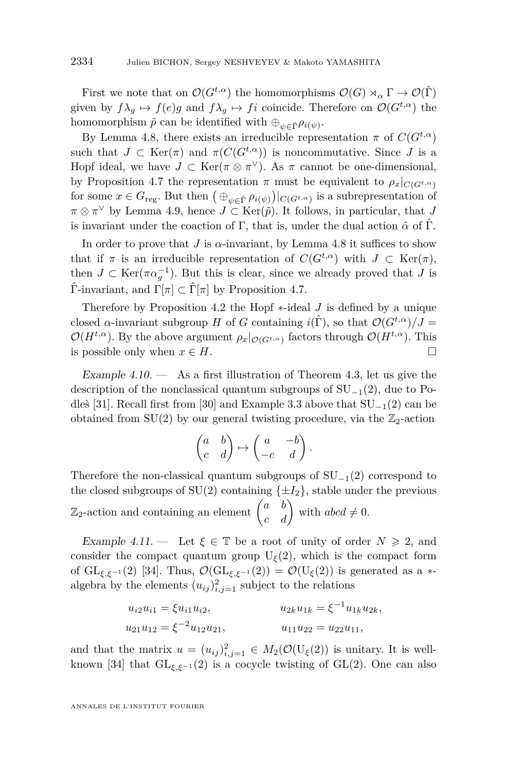First we note that on  $\mathcal{O}(G^{t,\alpha})$  the homomorphisms  $\mathcal{O}(G) \rtimes_{\alpha} \Gamma \to \mathcal{O}(\hat{\Gamma})$ given by  $f\lambda_g \mapsto f(e)g$  and  $f\lambda_g \mapsto fi$  coincide. Therefore on  $\mathcal{O}(G^{t,\alpha})$  the homomorphism  $\tilde{p}$  can be identified with  $\bigoplus_{\psi \in \hat{\Gamma}} \rho_{i(\psi)}$ .

By Lemma [4.8,](#page-35-0) there exists an irreducible representation  $\pi$  of  $C(G^{t,\alpha})$ such that  $J \subset \text{Ker}(\pi)$  and  $\pi(C(G^{t,\alpha}))$  is noncommutative. Since  $J$  is a Hopf ideal, we have  $J \subset \text{Ker}(\pi \otimes \pi^{\vee})$ . As  $\pi$  cannot be one-dimensional, by Proposition [4.7](#page-34-0) the representation  $\pi$  must be equivalent to  $\rho_x|_{C(G^t,\alpha)}$ for some  $x \in G$ <sub>reg</sub>. But then  $(\bigoplus_{\psi \in \hat{\Gamma}} \rho_{i(\psi)})|_{C(G^{t,\alpha})}$  is a subrepresentation of  $\pi \otimes \pi^{\vee}$  by Lemma [4.9,](#page-35-1) hence  $J \subset \text{Ker}(\tilde{p})$ . It follows, in particular, that *J* is invariant under the coaction of  $\Gamma$ , that is, under the dual action  $\hat{\alpha}$  of  $\hat{\Gamma}$ .

In order to prove that *J* is  $\alpha$ -invariant, by Lemma [4.8](#page-35-0) it suffices to show that if  $\pi$  is an irreducible representation of  $C(G^{t,\alpha})$  with  $J \subset \text{Ker}(\pi)$ , then  $J \subset \text{Ker}(\pi \alpha_g^{-1})$ . But this is clear, since we already proved that *J* is Γ<sup>-</sup>invariant, and  $\Gamma[\pi] \subset \widehat{\Gamma}[\pi]$  by Proposition [4.7.](#page-34-0)

Therefore by Proposition [4.2](#page-31-0) the Hopf ∗-ideal *J* is defined by a unique closed *α*-invariant subgroup *H* of *G* containing  $i(\hat{\Gamma})$ , so that  $\mathcal{O}(G^{t,\alpha})/J =$  $\mathcal{O}(H^{t,\alpha})$ . By the above argument  $\rho_x|_{\mathcal{O}(G^{t,\alpha})}$  factors through  $\mathcal{O}(H^{t,\alpha})$ . This is possible only when  $x \in H$ .

Example 4.10.  $\qquad \qquad$  As a first illustration of Theorem [4.3,](#page-32-0) let us give the description of the nonclassical quantum subgroups of  $SU_{-1}(2)$ , due to Po-dles [\[31\]](#page-39-6). Recall first from [\[30\]](#page-39-1) and Example [3.3](#page-22-1) above that  $SU_{-1}(2)$  can be obtained from  $SU(2)$  by our general twisting procedure, via the  $\mathbb{Z}_2$ -action

$$
\begin{pmatrix} a & b \\ c & d \end{pmatrix} \mapsto \begin{pmatrix} a & -b \\ -c & d \end{pmatrix}.
$$

Therefore the non-classical quantum subgroups of  $SU_{-1}(2)$  correspond to the closed subgroups of  $SU(2)$  containing  $\{\pm I_2\}$ , stable under the previous  $\mathbb{Z}_2$ -action and containing an element  $\begin{pmatrix} a & b \\ c & d \end{pmatrix}$  with  $abcd \neq 0$ .

Example 4.11. — Let  $\xi \in \mathbb{T}$  be a root of unity of order  $N \geq 2$ , and consider the compact quantum group  $U_{\xi}(2)$ , which is the compact form of  $GL_{\xi,\xi^{-1}}(2)$  [\[34\]](#page-39-19). Thus,  $\mathcal{O}(GL_{\xi,\xi^{-1}}(2)) = \mathcal{O}(U_{\xi}(2))$  is generated as a  $*$ algebra by the elements  $(u_{ij})_{i,j=1}^2$  subject to the relations

$$
u_{i2}u_{i1} = \xi u_{i1}u_{i2},
$$
  
\n
$$
u_{2k}u_{1k} = \xi^{-1}u_{1k}u_{2k},
$$
  
\n
$$
u_{21}u_{12} = \xi^{-2}u_{12}u_{21},
$$
  
\n
$$
u_{11}u_{22} = u_{22}u_{11},
$$

and that the matrix  $u = (u_{ij})_{i,j=1}^2 \in M_2(\mathcal{O}(U_{\xi}(2)))$  is unitary. It is well-known [\[34\]](#page-39-19) that  $GL_{\xi,\xi^{-1}}(2)$  is a cocycle twisting of  $GL(2)$ . One can also

ANNALES DE L'INSTITUT FOURIER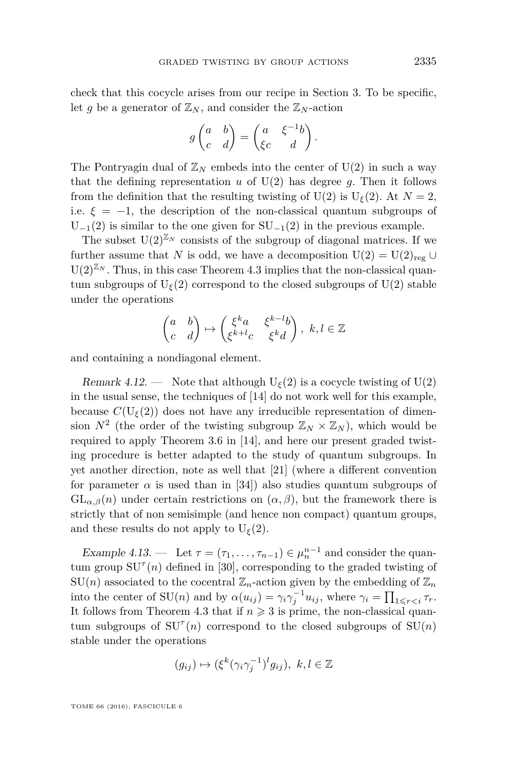check that this cocycle arises from our recipe in Section [3.](#page-20-0) To be specific, let *g* be a generator of  $\mathbb{Z}_N$ , and consider the  $\mathbb{Z}_N$ -action

$$
g\begin{pmatrix} a & b \\ c & d \end{pmatrix} = \begin{pmatrix} a & \xi^{-1}b \\ \xi c & d \end{pmatrix}.
$$

The Pontryagin dual of  $\mathbb{Z}_N$  embeds into the center of U(2) in such a way that the defining representation  $u$  of  $U(2)$  has degree  $g$ . Then it follows from the definition that the resulting twisting of U(2) is U<sub> $\xi$ </sub>(2). At  $N = 2$ , i.e.  $\xi = -1$ , the description of the non-classical quantum subgroups of  $U_{-1}(2)$  is similar to the one given for  $SU_{-1}(2)$  in the previous example.

The subset  $U(2)^{\mathbb{Z}_N}$  consists of the subgroup of diagonal matrices. If we further assume that *N* is odd, we have a decomposition  $U(2) = U(2)_{reg} \cup$  $U(2)^{\mathbb{Z}_N}$ . Thus, in this case Theorem [4.3](#page-32-0) implies that the non-classical quantum subgroups of  $U_{\xi}(2)$  correspond to the closed subgroups of  $U(2)$  stable under the operations

$$
\begin{pmatrix} a & b \\ c & d \end{pmatrix} \mapsto \begin{pmatrix} \xi^k a & \xi^{k-l}b \\ \xi^{k+l}c & \xi^k d \end{pmatrix}, \ k, l \in \mathbb{Z}
$$

and containing a nondiagonal element.

Remark 4.12. — Note that although  $U_{\xi}(2)$  is a cocycle twisting of  $U(2)$ in the usual sense, the techniques of [\[14\]](#page-38-3) do not work well for this example, because  $C(U_{\xi}(2))$  does not have any irreducible representation of dimension  $N^2$  (the order of the twisting subgroup  $\mathbb{Z}_N \times \mathbb{Z}_N$ ), which would be required to apply Theorem 3.6 in [\[14\]](#page-38-3), and here our present graded twisting procedure is better adapted to the study of quantum subgroups. In yet another direction, note as well that [\[21\]](#page-38-20) (where a different convention for parameter  $\alpha$  is used than in [\[34\]](#page-39-19)) also studies quantum subgroups of  $GL_{\alpha,\beta}(n)$  under certain restrictions on  $(\alpha,\beta)$ , but the framework there is strictly that of non semisimple (and hence non compact) quantum groups, and these results do not apply to  $U_{\xi}(2)$ .

Example 4.13. — Let  $\tau = (\tau_1, \ldots, \tau_{n-1}) \in \mu_n^{n-1}$  and consider the quantum group  $SU^{\tau}(n)$  defined in [\[30\]](#page-39-1), corresponding to the graded twisting of  $SU(n)$  associated to the cocentral  $\mathbb{Z}_n$ -action given by the embedding of  $\mathbb{Z}_n$ into the center of  $SU(n)$  and by  $\alpha(u_{ij}) = \gamma_i \gamma_j^{-1} u_{ij}$ , where  $\gamma_i = \prod_{1 \leq r < i} \tau_r$ . It follows from Theorem [4.3](#page-32-0) that if  $n \geq 3$  is prime, the non-classical quantum subgroups of  $SU^{\tau}(n)$  correspond to the closed subgroups of  $SU(n)$ stable under the operations

$$
(g_{ij}) \mapsto (\xi^k (\gamma_i \gamma_j^{-1})^l g_{ij}), \ k, l \in \mathbb{Z}
$$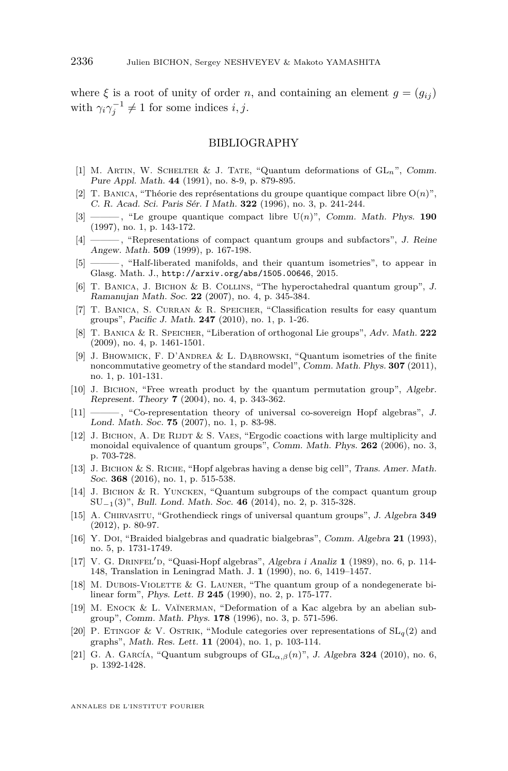where  $\xi$  is a root of unity of order *n*, and containing an element  $g = (g_{ij})$ with  $\gamma_i \gamma_j^{-1} \neq 1$  for some indices *i*, *j*.

#### BIBLIOGRAPHY

- <span id="page-38-2"></span>[1] M. Artin, W. Schelter & J. Tate, "Quantum deformations of GL*n*", Comm. Pure Appl. Math. **44** (1991), no. 8-9, p. 879-895.
- <span id="page-38-11"></span>[2] T. BANICA, "Théorie des représentations du groupe quantique compact libre  $O(n)$ ", C. R. Acad. Sci. Paris Sér. I Math. **322** (1996), no. 3, p. 241-244.
- <span id="page-38-9"></span>[3] ——— , "Le groupe quantique compact libre U(*n*)", Comm. Math. Phys. **190** (1997), no. 1, p. 143-172.
- <span id="page-38-19"></span>[4] ——— , "Representations of compact quantum groups and subfactors", J. Reine Angew. Math. **509** (1999), p. 167-198.
- <span id="page-38-18"></span> $-$ , "Half-liberated manifolds, and their quantum isometries", to appear in Glasg. Math. J., <http://arxiv.org/abs/1505.00646>, 2015.
- <span id="page-38-14"></span>[6] T. Banica, J. Bichon & B. Collins, "The hyperoctahedral quantum group", J. Ramanujan Math. Soc. **22** (2007), no. 4, p. 345-384.
- <span id="page-38-16"></span>[7] T. Banica, S. Curran & R. Speicher, "Classification results for easy quantum groups", Pacific J. Math. **247** (2010), no. 1, p. 1-26.
- <span id="page-38-13"></span>[8] T. Banica & R. Speicher, "Liberation of orthogonal Lie groups", Adv. Math. **222** (2009), no. 4, p. 1461-1501.
- <span id="page-38-17"></span>[9] J. Bhowmick, F. D'Andrea & L. Dąbrowski, "Quantum isometries of the finite noncommutative geometry of the standard model", Comm. Math. Phys. **307** (2011), no. 1, p. 101-131.
- <span id="page-38-15"></span>[10] J. Bichon, "Free wreath product by the quantum permutation group", Algebr. Represent. Theory **7** (2004), no. 4, p. 343-362.
- <span id="page-38-8"></span>[11] ——— , "Co-representation theory of universal co-sovereign Hopf algebras", J. Lond. Math. Soc. **75** (2007), no. 1, p. 83-98.
- <span id="page-38-12"></span> $[12]$  J. Bichon, A. De Rijdt & S. Vaes, "Ergodic coactions with large multiplicity and monoidal equivalence of quantum groups", Comm. Math. Phys. **262** (2006), no. 3, p. 703-728.
- <span id="page-38-7"></span>[13] J. BICHON & S. RICHE, "Hopf algebras having a dense big cell", Trans. Amer. Math. Soc. **368** (2016), no. 1, p. 515-538.
- <span id="page-38-3"></span>[14] J. Bichon & R. Yuncken, "Quantum subgroups of the compact quantum group SU−1(3)", Bull. Lond. Math. Soc. **46** (2014), no. 2, p. 315-328.
- <span id="page-38-10"></span>[15] A. Chirvasitu, "Grothendieck rings of universal quantum groups", J. Algebra **349** (2012), p. 80-97.
- <span id="page-38-1"></span>[16] Y. Doi, "Braided bialgebras and quadratic bialgebras", Comm. Algebra **21** (1993), no. 5, p. 1731-1749.
- <span id="page-38-0"></span>[17] V. G. DRINFEL'D, "Quasi-Hopf algebras", Algebra i Analiz 1 (1989), no. 6, p. 114-148, Translation in Leningrad Math. J. **1** (1990), no. 6, 1419–1457.
- <span id="page-38-6"></span>[18] M. Dubois-Violette & G. Launer, "The quantum group of a nondegenerate bilinear form", Phys. Lett. B **245** (1990), no. 2, p. 175-177.
- <span id="page-38-4"></span>[19] M. ENOCK & L. VAÏNERMAN, "Deformation of a Kac algebra by an abelian subgroup", Comm. Math. Phys. **178** (1996), no. 3, p. 571-596.
- <span id="page-38-5"></span>[20] P. ETINGOF & V. OSTRIK, "Module categories over representations of  $SL_q(2)$  and graphs", Math. Res. Lett. **11** (2004), no. 1, p. 103-114.
- <span id="page-38-20"></span>[21] G. A. GARCÍA, "Quantum subgroups of  $GL_{\alpha,\beta}(n)$ ", J. Algebra **324** (2010), no. 6, p. 1392-1428.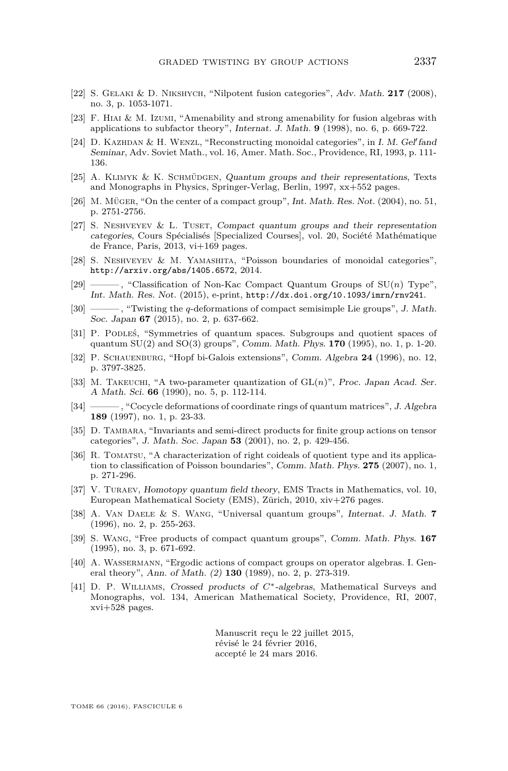- <span id="page-39-8"></span>[22] S. Gelaki & D. Nikshych, "Nilpotent fusion categories", Adv. Math. **217** (2008), no. 3, p. 1053-1071.
- <span id="page-39-15"></span>[23] F. Hiai & M. Izumi, "Amenability and strong amenability for fusion algebras with applications to subfactor theory", Internat. J. Math. **9** (1998), no. 6, p. 669-722.
- <span id="page-39-2"></span>[24] D. KAZHDAN & H. WENZL, "Reconstructing monoidal categories", in I. M. Gel'fand Seminar, Adv. Soviet Math., vol. 16, Amer. Math. Soc., Providence, RI, 1993, p. 111- 136.
- <span id="page-39-13"></span>[25] A. Klimyk & K. Schmüdgen, Quantum groups and their representations, Texts and Monographs in Physics, Springer-Verlag, Berlin, 1997, xx+552 pages.
- <span id="page-39-7"></span>[26] M. Müger, "On the center of a compact group", Int. Math. Res. Not. (2004), no. 51, p. 2751-2756.
- <span id="page-39-12"></span>[27] S. NESHVEYEV & L. TUSET, Compact quantum groups and their representation categories, Cours Spécialisés [Specialized Courses], vol. 20, Société Mathématique de France, Paris, 2013, vi+169 pages.
- <span id="page-39-4"></span>[28] S. Neshveyev & M. Yamashita, "Poisson boundaries of monoidal categories", <http://arxiv.org/abs/1405.6572>, 2014.
- <span id="page-39-5"></span>[29] ——— , "Classification of Non-Kac Compact Quantum Groups of SU(*n*) Type", Int. Math. Res. Not. (2015), e-print, <http://dx.doi.org/10.1093/imrn/rnv241>.
- <span id="page-39-1"></span>[30] ——— , "Twisting the *q*-deformations of compact semisimple Lie groups", J. Math. Soc. Japan **67** (2015), no. 2, p. 637-662.
- <span id="page-39-6"></span>[31] P. Podleś, "Symmetries of quantum spaces. Subgroups and quotient spaces of quantum SU(2) and SO(3) groups", Comm. Math. Phys. **170** (1995), no. 1, p. 1-20.
- <span id="page-39-10"></span>[32] P. SCHAUENBURG, "Hopf bi-Galois extensions", Comm. Algebra 24 (1996), no. 12, p. 3797-3825.
- <span id="page-39-0"></span>[33] M. Takeuchi, "A two-parameter quantization of GL(*n*)", Proc. Japan Acad. Ser. A Math. Sci. **66** (1990), no. 5, p. 112-114.
- <span id="page-39-19"></span>[34] ——— , "Cocycle deformations of coordinate rings of quantum matrices", J. Algebra **189** (1997), no. 1, p. 23-33.
- <span id="page-39-3"></span>[35] D. TAMBARA, "Invariants and semi-direct products for finite group actions on tensor categories", J. Math. Soc. Japan **53** (2001), no. 2, p. 429-456.
- <span id="page-39-16"></span>[36] R. Tomatsu, "A characterization of right coideals of quotient type and its application to classification of Poisson boundaries", Comm. Math. Phys. **275** (2007), no. 1, p. 271-296.
- <span id="page-39-9"></span>[37] V. Turaev, Homotopy quantum field theory, EMS Tracts in Mathematics, vol. 10, European Mathematical Society (EMS), Zürich, 2010, xiv+276 pages.
- <span id="page-39-11"></span>[38] A. Van Daele & S. Wang, "Universal quantum groups", Internat. J. Math. **7** (1996), no. 2, p. 255-263.
- <span id="page-39-14"></span>[39] S. Wang, "Free products of compact quantum groups", Comm. Math. Phys. **167** (1995), no. 3, p. 671-692.
- <span id="page-39-17"></span>[40] A. Wassermann, "Ergodic actions of compact groups on operator algebras. I. General theory", Ann. of Math. (2) **130** (1989), no. 2, p. 273-319.
- <span id="page-39-18"></span>[41] D. P. Williams, Crossed products of *C*∗-algebras, Mathematical Surveys and Monographs, vol. 134, American Mathematical Society, Providence, RI, 2007, xvi+528 pages.

Manuscrit reçu le 22 juillet 2015, révisé le 24 février 2016, accepté le 24 mars 2016.